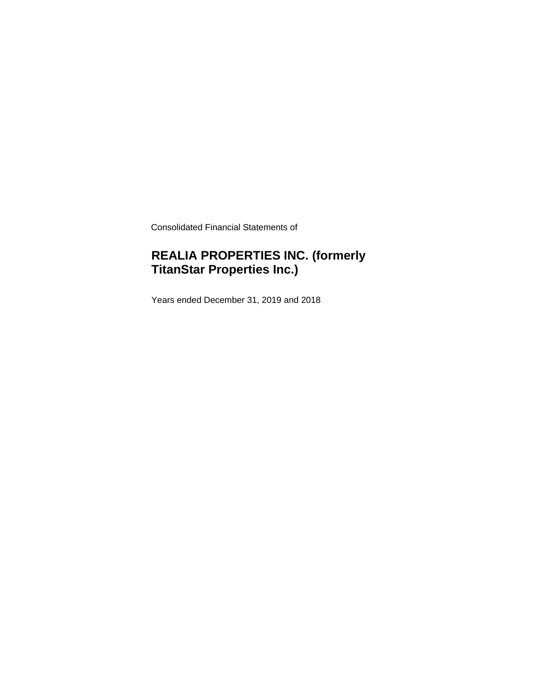Consolidated Financial Statements of

### **REALIA PROPERTIES INC. (formerly TitanStar Properties Inc.)**

Years ended December 31, 2019 and 2018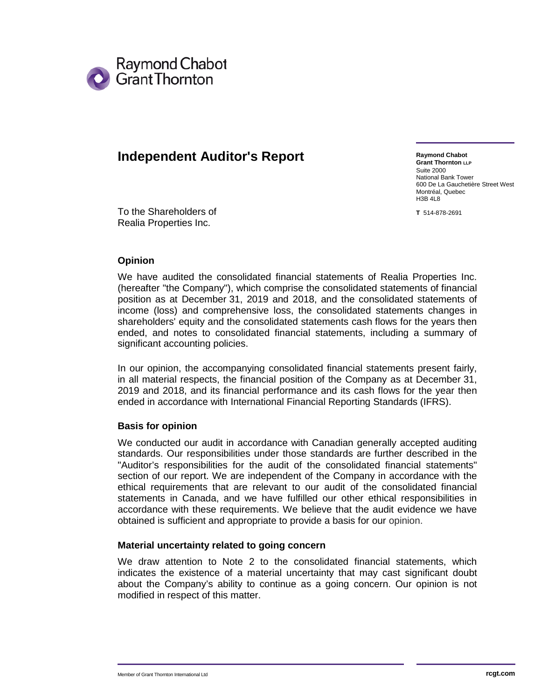

### **Independent Auditor's Report**

**Raymond Chabot Grant Thornton LLP** Suite 2000 National Bank Tower 600 De La Gauchetière Street West Montréal, Quebec H3B 4L8

**T** 514-878-2691

To the Shareholders of Realia Properties Inc.

#### **Opinion**

We have audited the consolidated financial statements of Realia Properties Inc. (hereafter "the Company"), which comprise the consolidated statements of financial position as at December 31, 2019 and 2018, and the consolidated statements of income (loss) and comprehensive loss, the consolidated statements changes in shareholders' equity and the consolidated statements cash flows for the years then ended, and notes to consolidated financial statements, including a summary of significant accounting policies.

In our opinion, the accompanying consolidated financial statements present fairly, in all material respects, the financial position of the Company as at December 31, 2019 and 2018, and its financial performance and its cash flows for the year then ended in accordance with International Financial Reporting Standards (IFRS).

#### **Basis for opinion**

We conducted our audit in accordance with Canadian generally accepted auditing standards. Our responsibilities under those standards are further described in the "Auditor's responsibilities for the audit of the consolidated financial statements" section of our report. We are independent of the Company in accordance with the ethical requirements that are relevant to our audit of the consolidated financial statements in Canada, and we have fulfilled our other ethical responsibilities in accordance with these requirements. We believe that the audit evidence we have obtained is sufficient and appropriate to provide a basis for our opinion.

#### **Material uncertainty related to going concern**

We draw attention to Note 2 to the consolidated financial statements, which indicates the existence of a material uncertainty that may cast significant doubt about the Company's ability to continue as a going concern. Our opinion is not modified in respect of this matter.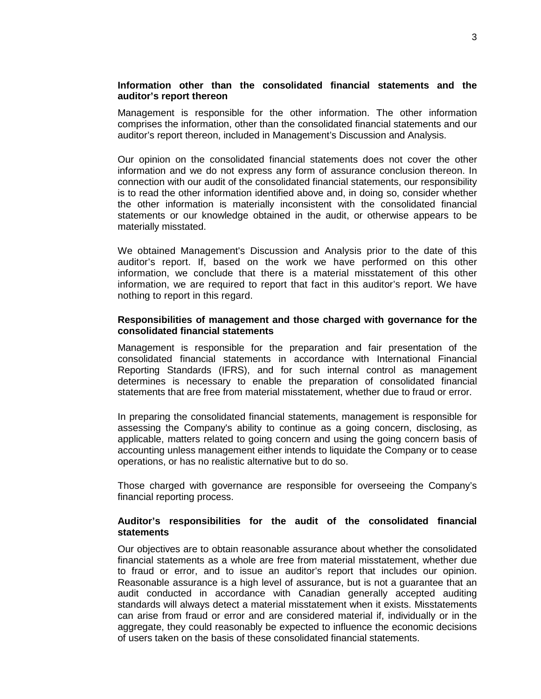#### **Information other than the consolidated financial statements and the auditor's report thereon**

Management is responsible for the other information. The other information comprises the information, other than the consolidated financial statements and our auditor's report thereon, included in Management's Discussion and Analysis.

Our opinion on the consolidated financial statements does not cover the other information and we do not express any form of assurance conclusion thereon. In connection with our audit of the consolidated financial statements, our responsibility is to read the other information identified above and, in doing so, consider whether the other information is materially inconsistent with the consolidated financial statements or our knowledge obtained in the audit, or otherwise appears to be materially misstated.

We obtained Management's Discussion and Analysis prior to the date of this auditor's report. If, based on the work we have performed on this other information, we conclude that there is a material misstatement of this other information, we are required to report that fact in this auditor's report. We have nothing to report in this regard.

#### **Responsibilities of management and those charged with governance for the consolidated financial statements**

Management is responsible for the preparation and fair presentation of the consolidated financial statements in accordance with International Financial Reporting Standards (IFRS), and for such internal control as management determines is necessary to enable the preparation of consolidated financial statements that are free from material misstatement, whether due to fraud or error.

In preparing the consolidated financial statements, management is responsible for assessing the Company's ability to continue as a going concern, disclosing, as applicable, matters related to going concern and using the going concern basis of accounting unless management either intends to liquidate the Company or to cease operations, or has no realistic alternative but to do so.

Those charged with governance are responsible for overseeing the Company's financial reporting process.

#### **Auditor's responsibilities for the audit of the consolidated financial statements**

Our objectives are to obtain reasonable assurance about whether the consolidated financial statements as a whole are free from material misstatement, whether due to fraud or error, and to issue an auditor's report that includes our opinion. Reasonable assurance is a high level of assurance, but is not a guarantee that an audit conducted in accordance with Canadian generally accepted auditing standards will always detect a material misstatement when it exists. Misstatements can arise from fraud or error and are considered material if, individually or in the aggregate, they could reasonably be expected to influence the economic decisions of users taken on the basis of these consolidated financial statements.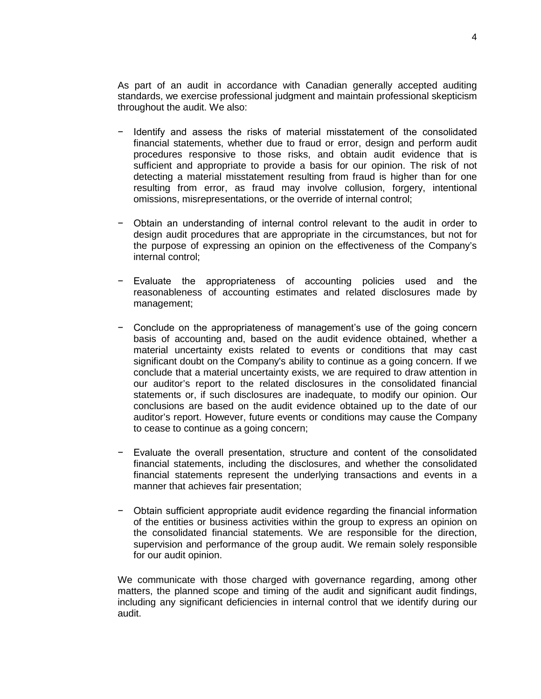As part of an audit in accordance with Canadian generally accepted auditing standards, we exercise professional judgment and maintain professional skepticism throughout the audit. We also:

- − Identify and assess the risks of material misstatement of the consolidated financial statements, whether due to fraud or error, design and perform audit procedures responsive to those risks, and obtain audit evidence that is sufficient and appropriate to provide a basis for our opinion. The risk of not detecting a material misstatement resulting from fraud is higher than for one resulting from error, as fraud may involve collusion, forgery, intentional omissions, misrepresentations, or the override of internal control;
- − Obtain an understanding of internal control relevant to the audit in order to design audit procedures that are appropriate in the circumstances, but not for the purpose of expressing an opinion on the effectiveness of the Company's internal control;
- − Evaluate the appropriateness of accounting policies used and the reasonableness of accounting estimates and related disclosures made by management;
- − Conclude on the appropriateness of management's use of the going concern basis of accounting and, based on the audit evidence obtained, whether a material uncertainty exists related to events or conditions that may cast significant doubt on the Company's ability to continue as a going concern. If we conclude that a material uncertainty exists, we are required to draw attention in our auditor's report to the related disclosures in the consolidated financial statements or, if such disclosures are inadequate, to modify our opinion. Our conclusions are based on the audit evidence obtained up to the date of our auditor's report. However, future events or conditions may cause the Company to cease to continue as a going concern;
- − Evaluate the overall presentation, structure and content of the consolidated financial statements, including the disclosures, and whether the consolidated financial statements represent the underlying transactions and events in a manner that achieves fair presentation;
- − Obtain sufficient appropriate audit evidence regarding the financial information of the entities or business activities within the group to express an opinion on the consolidated financial statements. We are responsible for the direction, supervision and performance of the group audit. We remain solely responsible for our audit opinion.

We communicate with those charged with governance regarding, among other matters, the planned scope and timing of the audit and significant audit findings, including any significant deficiencies in internal control that we identify during our audit.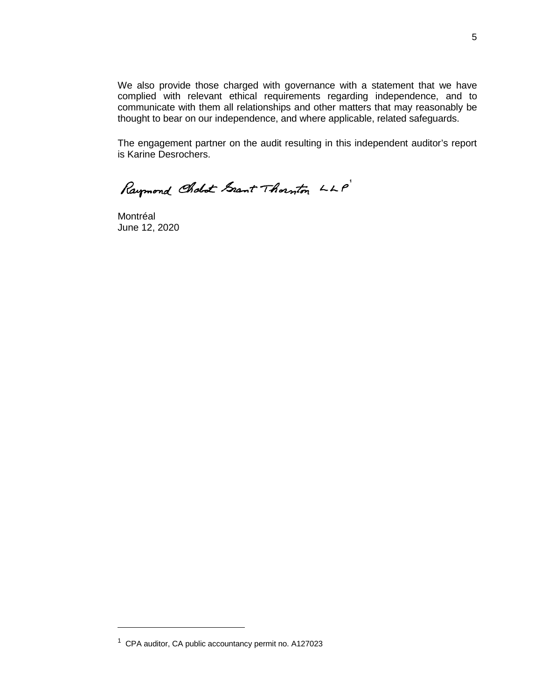We also provide those charged with governance with a statement that we have complied with relevant ethical requirements regarding independence, and to communicate with them all relationships and other matters that may reasonably be thought to bear on our independence, and where applicable, related safeguards.

The engagement partner on the audit resulting in this independent auditor's report is Karine Desrochers.

Raymond Cholot Grant Thornton LLP

Montréal June 12, 2020

<sup>&</sup>lt;sup>1</sup> CPA auditor, CA public accountancy permit no. A127023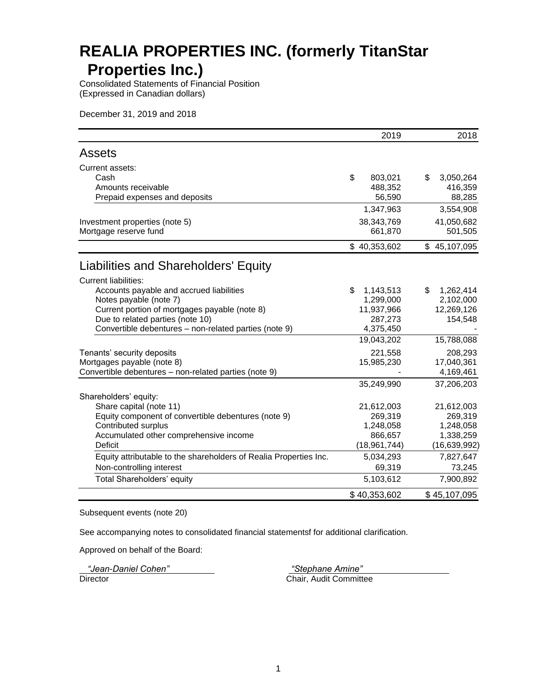Consolidated Statements of Financial Position (Expressed in Canadian dollars)

December 31, 2019 and 2018

|                                                                                                                                                                                                                                                 | 2019                                                               | 2018                                                  |
|-------------------------------------------------------------------------------------------------------------------------------------------------------------------------------------------------------------------------------------------------|--------------------------------------------------------------------|-------------------------------------------------------|
| <b>Assets</b>                                                                                                                                                                                                                                   |                                                                    |                                                       |
| Current assets:<br>Cash<br>Amounts receivable<br>Prepaid expenses and deposits                                                                                                                                                                  | \$<br>803,021<br>488,352<br>56,590                                 | \$<br>3,050,264<br>416,359<br>88,285                  |
|                                                                                                                                                                                                                                                 | 1,347,963                                                          | 3,554,908                                             |
| Investment properties (note 5)<br>Mortgage reserve fund                                                                                                                                                                                         | 38,343,769<br>661,870                                              | 41,050,682<br>501,505                                 |
|                                                                                                                                                                                                                                                 | \$40,353,602                                                       | \$45,107,095                                          |
| Liabilities and Shareholders' Equity                                                                                                                                                                                                            |                                                                    |                                                       |
| <b>Current liabilities:</b><br>Accounts payable and accrued liabilities<br>Notes payable (note 7)<br>Current portion of mortgages payable (note 8)<br>Due to related parties (note 10)<br>Convertible debentures - non-related parties (note 9) | \$<br>1,143,513<br>1,299,000<br>11,937,966<br>287,273<br>4,375,450 | \$<br>1,262,414<br>2,102,000<br>12,269,126<br>154,548 |
|                                                                                                                                                                                                                                                 | 19,043,202                                                         | 15,788,088                                            |
| Tenants' security deposits<br>Mortgages payable (note 8)<br>Convertible debentures - non-related parties (note 9)                                                                                                                               | 221,558<br>15,985,230                                              | 208,293<br>17,040,361<br>4,169,461                    |
|                                                                                                                                                                                                                                                 | 35,249,990                                                         | 37,206,203                                            |
| Shareholders' equity:<br>Share capital (note 11)<br>Equity component of convertible debentures (note 9)<br>Contributed surplus<br>Accumulated other comprehensive income<br>Deficit                                                             | 21,612,003<br>269,319<br>1,248,058<br>866,657<br>(18,961,744)      | 21,612,003<br>269,319<br>1,248,058<br>1,338,259       |
| Equity attributable to the shareholders of Realia Properties Inc.                                                                                                                                                                               | 5,034,293                                                          | (16, 639, 992)<br>7,827,647                           |
| Non-controlling interest                                                                                                                                                                                                                        | 69,319                                                             | 73,245                                                |
| Total Shareholders' equity                                                                                                                                                                                                                      | 5,103,612                                                          | 7,900,892                                             |
|                                                                                                                                                                                                                                                 | \$40,353,602                                                       | \$45,107,095                                          |

Subsequent events (note 20)

See accompanying notes to consolidated financial statementsf for additional clarification.

Approved on behalf of the Board:

*"Jean-Daniel Cohen" "Stephane Amine"*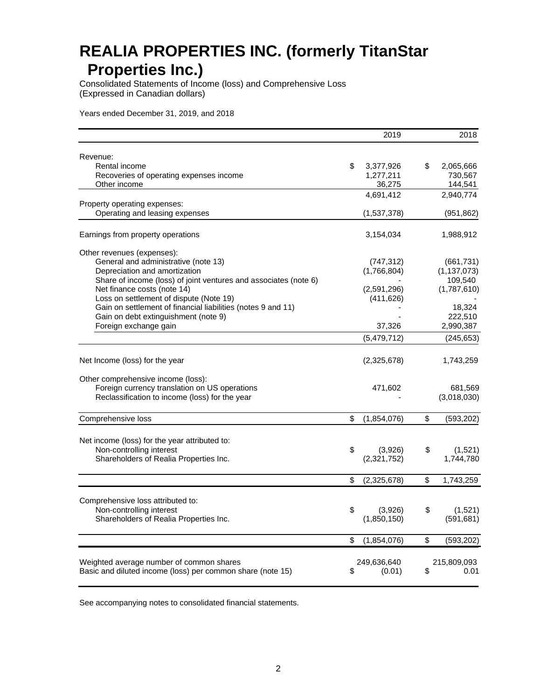Consolidated Statements of Income (loss) and Comprehensive Loss (Expressed in Canadian dollars)

Years ended December 31, 2019, and 2018

|                                                                  | 2019              | 2018             |
|------------------------------------------------------------------|-------------------|------------------|
| Revenue:                                                         |                   |                  |
| Rental income                                                    | \$<br>3,377,926   | \$<br>2,065,666  |
| Recoveries of operating expenses income                          | 1,277,211         | 730,567          |
| Other income                                                     | 36,275            | 144,541          |
|                                                                  | 4,691,412         | 2,940,774        |
| Property operating expenses:                                     |                   |                  |
| Operating and leasing expenses                                   | (1,537,378)       | (951, 862)       |
|                                                                  |                   |                  |
| Earnings from property operations                                | 3,154,034         | 1,988,912        |
| Other revenues (expenses):                                       |                   |                  |
| General and administrative (note 13)                             | (747, 312)        | (661, 731)       |
| Depreciation and amortization                                    | (1,766,804)       | (1, 137, 073)    |
| Share of income (loss) of joint ventures and associates (note 6) |                   | 109,540          |
| Net finance costs (note 14)                                      | (2,591,296)       | (1,787,610)      |
| Loss on settlement of dispute (Note 19)                          | (411, 626)        |                  |
| Gain on settlement of financial liabilities (notes 9 and 11)     |                   | 18,324           |
| Gain on debt extinguishment (note 9)                             |                   | 222,510          |
| Foreign exchange gain                                            | 37,326            | 2,990,387        |
|                                                                  | (5,479,712)       | (245, 653)       |
|                                                                  |                   |                  |
| Net Income (loss) for the year                                   | (2,325,678)       | 1,743,259        |
| Other comprehensive income (loss):                               |                   |                  |
| Foreign currency translation on US operations                    | 471,602           | 681,569          |
| Reclassification to income (loss) for the year                   |                   | (3,018,030)      |
|                                                                  |                   |                  |
| Comprehensive loss                                               | \$<br>(1,854,076) | \$<br>(593, 202) |
|                                                                  |                   |                  |
| Net income (loss) for the year attributed to:                    |                   |                  |
| Non-controlling interest                                         | \$<br>(3,926)     | \$<br>(1,521)    |
| Shareholders of Realia Properties Inc.                           | (2,321,752)       | 1,744,780        |
|                                                                  |                   |                  |
|                                                                  | \$<br>(2,325,678) | \$<br>1,743,259  |
| Comprehensive loss attributed to:                                |                   |                  |
| Non-controlling interest                                         | \$<br>(3,926)     | \$<br>(1,521)    |
| Shareholders of Realia Properties Inc.                           | (1,850,150)       | (591, 681)       |
|                                                                  |                   |                  |
|                                                                  | \$<br>(1,854,076) | \$<br>(593, 202) |
|                                                                  |                   |                  |
| Weighted average number of common shares                         | 249,636,640       | 215,809,093      |
| Basic and diluted income (loss) per common share (note 15)       | \$<br>(0.01)      | \$<br>0.01       |
|                                                                  |                   |                  |

See accompanying notes to consolidated financial statements.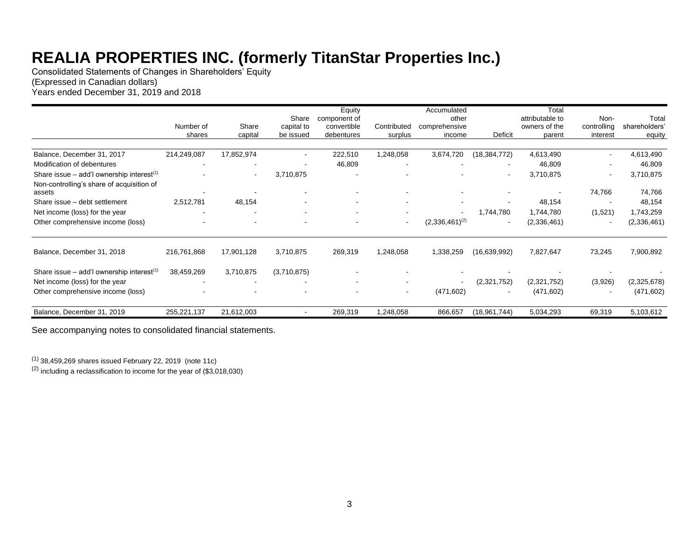Consolidated Statements of Changes in Shareholders' Equity

(Expressed in Canadian dollars)

Years ended December 31, 2019 and 2018

|                                                         | Number of<br>shares      | Share<br>capital | Share<br>capital to<br>be issued | Equity<br>component of<br>convertible<br>debentures | Contributed<br>surplus   | Accumulated<br>other<br>comprehensive<br>income | Deficit        | Total<br>attributable to<br>owners of the<br>parent | Non-<br>controlling<br>interest | Total<br>shareholders'<br>equity |
|---------------------------------------------------------|--------------------------|------------------|----------------------------------|-----------------------------------------------------|--------------------------|-------------------------------------------------|----------------|-----------------------------------------------------|---------------------------------|----------------------------------|
| Balance, December 31, 2017                              | 214,249,087              | 17,852,974       |                                  | 222,510                                             | 1,248,058                | 3,674,720                                       | (18, 384, 772) | 4,613,490                                           | $\sim$                          | 4,613,490                        |
| Modification of debentures                              | $\overline{\phantom{a}}$ | $\blacksquare$   | $\overline{\phantom{a}}$         | 46,809                                              | $\overline{\phantom{a}}$ |                                                 | $\blacksquare$ | 46,809                                              | $\overline{\phantom{a}}$        | 46,809                           |
| Share issue $-$ add'l ownership interest <sup>(1)</sup> |                          | $\sim$           | 3,710,875                        |                                                     |                          |                                                 | ٠              | 3,710,875                                           | ۰                               | 3,710,875                        |
| Non-controlling's share of acquisition of<br>assets     |                          |                  |                                  |                                                     |                          |                                                 |                |                                                     | 74,766                          | 74,766                           |
| Share issue - debt settlement                           | 2,512,781                | 48,154           |                                  | $\sim$                                              |                          |                                                 | $\blacksquare$ | 48,154                                              | $\overline{\phantom{a}}$        | 48,154                           |
| Net income (loss) for the year                          |                          | $\blacksquare$   |                                  |                                                     |                          | $\overline{\phantom{a}}$                        | 1,744,780      | 1,744,780                                           | (1,521)                         | 1,743,259                        |
| Other comprehensive income (loss)                       |                          | ۰.               |                                  |                                                     | $\sim$                   | $(2,336,461)^{(2)}$                             | $\blacksquare$ | (2,336,461)                                         | $\overline{\phantom{a}}$        | (2,336,461)                      |
| Balance, December 31, 2018                              | 216,761,868              | 17,901,128       | 3,710,875                        | 269,319                                             | 1,248,058                | 1,338,259                                       | (16,639,992)   | 7,827,647                                           | 73,245                          | 7,900,892                        |
| Share issue $-$ add'l ownership interest <sup>(1)</sup> | 38,459,269               | 3,710,875        | (3,710,875)                      |                                                     |                          |                                                 |                |                                                     |                                 |                                  |
| Net income (loss) for the year                          |                          |                  |                                  |                                                     |                          | $\blacksquare$                                  | (2,321,752)    | (2,321,752)                                         | (3,926)                         | (2,325,678)                      |
| Other comprehensive income (loss)                       |                          | ۰                |                                  |                                                     | $\sim$                   | (471, 602)                                      |                | (471, 602)                                          |                                 | (471, 602)                       |
| Balance, December 31, 2019                              | 255,221,137              | 21,612,003       |                                  | 269,319                                             | 1,248,058                | 866,657                                         | (18,961,744)   | 5,034,293                                           | 69,319                          | 5,103,612                        |

See accompanying notes to consolidated financial statements.

 $(1)$  38,459,269 shares issued February 22, 2019 (note 11c)

 $(2)$  including a reclassification to income for the year of  $(\$3,018,030)$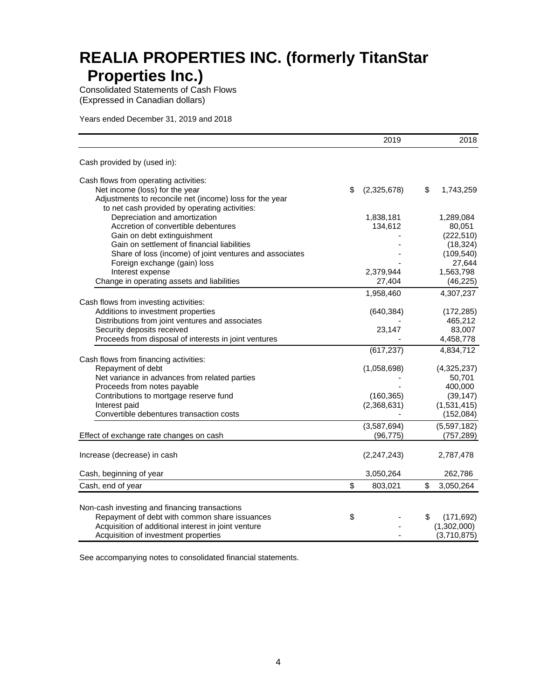Consolidated Statements of Cash Flows (Expressed in Canadian dollars)

Years ended December 31, 2019 and 2018

|                                                         | 2019              | 2018             |
|---------------------------------------------------------|-------------------|------------------|
| Cash provided by (used in):                             |                   |                  |
| Cash flows from operating activities:                   |                   |                  |
| Net income (loss) for the year                          | \$<br>(2,325,678) | \$<br>1,743,259  |
| Adjustments to reconcile net (income) loss for the year |                   |                  |
| to net cash provided by operating activities:           |                   |                  |
| Depreciation and amortization                           | 1,838,181         | 1,289,084        |
| Accretion of convertible debentures                     | 134,612           | 80,051           |
| Gain on debt extinguishment                             |                   | (222, 510)       |
| Gain on settlement of financial liabilities             |                   | (18, 324)        |
| Share of loss (income) of joint ventures and associates |                   | (109, 540)       |
| Foreign exchange (gain) loss                            |                   | 27,644           |
| Interest expense                                        | 2,379,944         | 1,563,798        |
| Change in operating assets and liabilities              | 27,404            | (46, 225)        |
|                                                         | 1,958,460         | 4,307,237        |
| Cash flows from investing activities:                   |                   |                  |
| Additions to investment properties                      | (640, 384)        | (172, 285)       |
| Distributions from joint ventures and associates        |                   | 465,212          |
| Security deposits received                              | 23,147            | 83,007           |
| Proceeds from disposal of interests in joint ventures   |                   | 4,458,778        |
|                                                         | (617, 237)        | 4,834,712        |
| Cash flows from financing activities:                   |                   |                  |
| Repayment of debt                                       | (1,058,698)       | (4,325,237)      |
| Net variance in advances from related parties           |                   | 50,701           |
| Proceeds from notes payable                             |                   | 400,000          |
| Contributions to mortgage reserve fund                  | (160, 365)        | (39, 147)        |
| Interest paid                                           | (2,368,631)       | (1,531,415)      |
| Convertible debentures transaction costs                |                   | (152, 084)       |
|                                                         | (3,587,694)       | (5,597,182)      |
| Effect of exchange rate changes on cash                 | (96, 775)         | (757, 289)       |
| Increase (decrease) in cash                             | (2, 247, 243)     | 2,787,478        |
|                                                         |                   |                  |
| Cash, beginning of year                                 | 3,050,264         | 262,786          |
| Cash, end of year                                       | \$<br>803,021     | \$<br>3,050,264  |
|                                                         |                   |                  |
| Non-cash investing and financing transactions           |                   |                  |
| Repayment of debt with common share issuances           | \$                | \$<br>(171, 692) |
| Acquisition of additional interest in joint venture     |                   | (1,302,000)      |
| Acquisition of investment properties                    |                   | (3,710,875)      |

See accompanying notes to consolidated financial statements.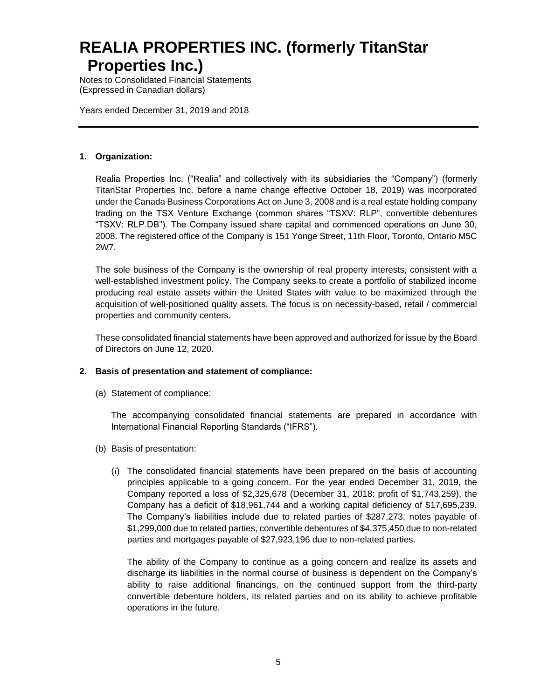Notes to Consolidated Financial Statements (Expressed in Canadian dollars)

Years ended December 31, 2019 and 2018

#### **1. Organization:**

Realia Properties Inc. ("Realia" and collectively with its subsidiaries the "Company") (formerly TitanStar Properties Inc. before a name change effective October 18, 2019) was incorporated under the Canada Business Corporations Act on June 3, 2008 and is a real estate holding company trading on the TSX Venture Exchange (common shares "TSXV: RLP", convertible debentures "TSXV: RLP.DB"). The Company issued share capital and commenced operations on June 30, 2008. The registered office of the Company is 151 Yonge Street, 11th Floor, Toronto, Ontario M5C 2W7.

The sole business of the Company is the ownership of real property interests, consistent with a well-established investment policy. The Company seeks to create a portfolio of stabilized income producing real estate assets within the United States with value to be maximized through the acquisition of well-positioned quality assets. The focus is on necessity-based, retail / commercial properties and community centers.

These consolidated financial statements have been approved and authorized for issue by the Board of Directors on June 12, 2020.

#### **2. Basis of presentation and statement of compliance:**

(a) Statement of compliance:

The accompanying consolidated financial statements are prepared in accordance with International Financial Reporting Standards ("IFRS").

- (b) Basis of presentation:
	- (*i*) The consolidated financial statements have been prepared on the basis of accounting principles applicable to a going concern. For the year ended December 31, 2019, the Company reported a loss of \$2,325,678 (December 31, 2018: profit of \$1,743,259), the Company has a deficit of \$18,961,744 and a working capital deficiency of \$17,695,239. The Company's liabilities include due to related parties of \$287,273, notes payable of \$1,299,000 due to related parties, convertible debentures of \$4,375,450 due to non-related parties and mortgages payable of \$27,923,196 due to non-related parties.

The ability of the Company to continue as a going concern and realize its assets and discharge its liabilities in the normal course of business is dependent on the Company's ability to raise additional financings, on the continued support from the third-party convertible debenture holders, its related parties and on its ability to achieve profitable operations in the future.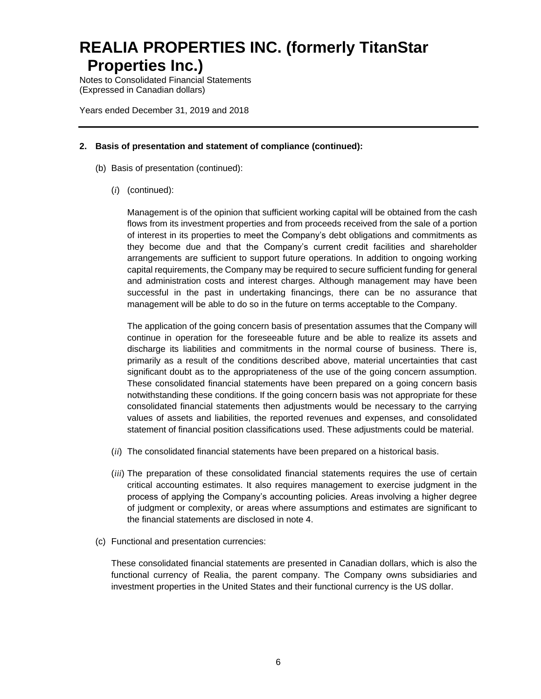Notes to Consolidated Financial Statements (Expressed in Canadian dollars)

Years ended December 31, 2019 and 2018

#### **2. Basis of presentation and statement of compliance (continued):**

(b) Basis of presentation (continued):

#### (*i*) (continued):

Management is of the opinion that sufficient working capital will be obtained from the cash flows from its investment properties and from proceeds received from the sale of a portion of interest in its properties to meet the Company's debt obligations and commitments as they become due and that the Company's current credit facilities and shareholder arrangements are sufficient to support future operations. In addition to ongoing working capital requirements, the Company may be required to secure sufficient funding for general and administration costs and interest charges. Although management may have been successful in the past in undertaking financings, there can be no assurance that management will be able to do so in the future on terms acceptable to the Company.

The application of the going concern basis of presentation assumes that the Company will continue in operation for the foreseeable future and be able to realize its assets and discharge its liabilities and commitments in the normal course of business. There is, primarily as a result of the conditions described above, material uncertainties that cast significant doubt as to the appropriateness of the use of the going concern assumption. These consolidated financial statements have been prepared on a going concern basis notwithstanding these conditions. If the going concern basis was not appropriate for these consolidated financial statements then adjustments would be necessary to the carrying values of assets and liabilities, the reported revenues and expenses, and consolidated statement of financial position classifications used. These adjustments could be material.

- (*ii*) The consolidated financial statements have been prepared on a historical basis.
- (*iii*) The preparation of these consolidated financial statements requires the use of certain critical accounting estimates. It also requires management to exercise judgment in the process of applying the Company's accounting policies. Areas involving a higher degree of judgment or complexity, or areas where assumptions and estimates are significant to the financial statements are disclosed in note 4.
- (c) Functional and presentation currencies:

These consolidated financial statements are presented in Canadian dollars, which is also the functional currency of Realia, the parent company. The Company owns subsidiaries and investment properties in the United States and their functional currency is the US dollar.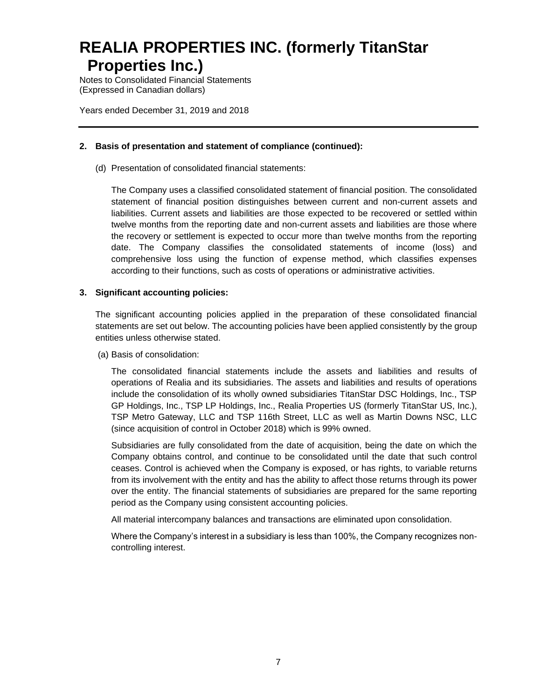Notes to Consolidated Financial Statements (Expressed in Canadian dollars)

Years ended December 31, 2019 and 2018

#### **2. Basis of presentation and statement of compliance (continued):**

(d) Presentation of consolidated financial statements:

The Company uses a classified consolidated statement of financial position. The consolidated statement of financial position distinguishes between current and non-current assets and liabilities. Current assets and liabilities are those expected to be recovered or settled within twelve months from the reporting date and non-current assets and liabilities are those where the recovery or settlement is expected to occur more than twelve months from the reporting date. The Company classifies the consolidated statements of income (loss) and comprehensive loss using the function of expense method, which classifies expenses according to their functions, such as costs of operations or administrative activities.

#### **3. Significant accounting policies:**

The significant accounting policies applied in the preparation of these consolidated financial statements are set out below. The accounting policies have been applied consistently by the group entities unless otherwise stated.

(a) Basis of consolidation:

The consolidated financial statements include the assets and liabilities and results of operations of Realia and its subsidiaries. The assets and liabilities and results of operations include the consolidation of its wholly owned subsidiaries TitanStar DSC Holdings, Inc., TSP GP Holdings, Inc., TSP LP Holdings, Inc., Realia Properties US (formerly TitanStar US, Inc.), TSP Metro Gateway, LLC and TSP 116th Street, LLC as well as Martin Downs NSC, LLC (since acquisition of control in October 2018) which is 99% owned.

Subsidiaries are fully consolidated from the date of acquisition, being the date on which the Company obtains control, and continue to be consolidated until the date that such control ceases. Control is achieved when the Company is exposed, or has rights, to variable returns from its involvement with the entity and has the ability to affect those returns through its power over the entity. The financial statements of subsidiaries are prepared for the same reporting period as the Company using consistent accounting policies.

All material intercompany balances and transactions are eliminated upon consolidation.

Where the Company's interest in a subsidiary is less than 100%, the Company recognizes noncontrolling interest.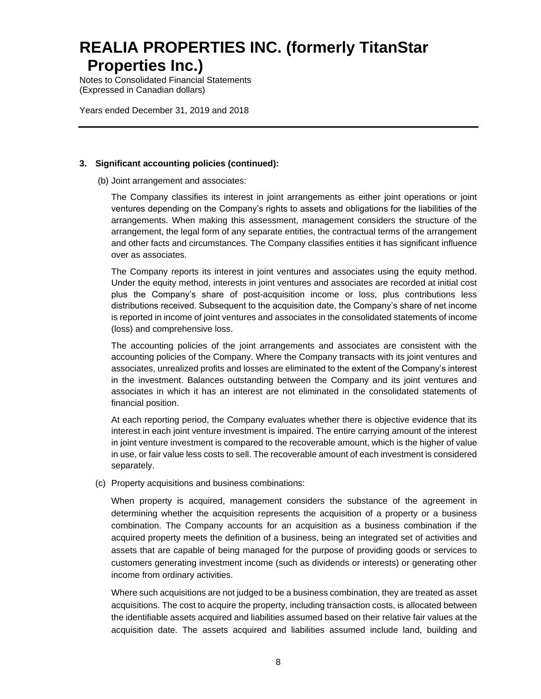Notes to Consolidated Financial Statements (Expressed in Canadian dollars)

Years ended December 31, 2019 and 2018

#### **3. Significant accounting policies (continued):**

(b) Joint arrangement and associates:

The Company classifies its interest in joint arrangements as either joint operations or joint ventures depending on the Company's rights to assets and obligations for the liabilities of the arrangements. When making this assessment, management considers the structure of the arrangement, the legal form of any separate entities, the contractual terms of the arrangement and other facts and circumstances. The Company classifies entities it has significant influence over as associates.

The Company reports its interest in joint ventures and associates using the equity method. Under the equity method, interests in joint ventures and associates are recorded at initial cost plus the Company's share of post-acquisition income or loss, plus contributions less distributions received. Subsequent to the acquisition date, the Company's share of net income is reported in income of joint ventures and associates in the consolidated statements of income (loss) and comprehensive loss.

The accounting policies of the joint arrangements and associates are consistent with the accounting policies of the Company. Where the Company transacts with its joint ventures and associates, unrealized profits and losses are eliminated to the extent of the Company's interest in the investment. Balances outstanding between the Company and its joint ventures and associates in which it has an interest are not eliminated in the consolidated statements of financial position.

At each reporting period, the Company evaluates whether there is objective evidence that its interest in each joint venture investment is impaired. The entire carrying amount of the interest in joint venture investment is compared to the recoverable amount, which is the higher of value in use, or fair value less costs to sell. The recoverable amount of each investment is considered separately.

(c) Property acquisitions and business combinations:

When property is acquired, management considers the substance of the agreement in determining whether the acquisition represents the acquisition of a property or a business combination. The Company accounts for an acquisition as a business combination if the acquired property meets the definition of a business, being an integrated set of activities and assets that are capable of being managed for the purpose of providing goods or services to customers generating investment income (such as dividends or interests) or generating other income from ordinary activities.

Where such acquisitions are not judged to be a business combination, they are treated as asset acquisitions. The cost to acquire the property, including transaction costs, is allocated between the identifiable assets acquired and liabilities assumed based on their relative fair values at the acquisition date. The assets acquired and liabilities assumed include land, building and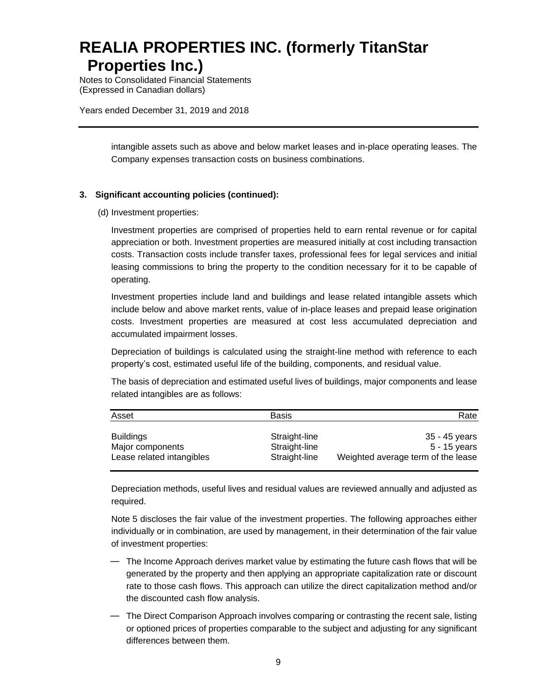Notes to Consolidated Financial Statements (Expressed in Canadian dollars)

Years ended December 31, 2019 and 2018

intangible assets such as above and below market leases and in-place operating leases. The Company expenses transaction costs on business combinations.

#### **3. Significant accounting policies (continued):**

(d) Investment properties:

Investment properties are comprised of properties held to earn rental revenue or for capital appreciation or both. Investment properties are measured initially at cost including transaction costs. Transaction costs include transfer taxes, professional fees for legal services and initial leasing commissions to bring the property to the condition necessary for it to be capable of operating.

Investment properties include land and buildings and lease related intangible assets which include below and above market rents, value of in-place leases and prepaid lease origination costs. Investment properties are measured at cost less accumulated depreciation and accumulated impairment losses.

Depreciation of buildings is calculated using the straight-line method with reference to each property's cost, estimated useful life of the building, components, and residual value.

The basis of depreciation and estimated useful lives of buildings, major components and lease related intangibles are as follows:

| Asset                                                             | Basis                                           | Rate                                                                  |
|-------------------------------------------------------------------|-------------------------------------------------|-----------------------------------------------------------------------|
| <b>Buildings</b><br>Major components<br>Lease related intangibles | Straight-line<br>Straight-line<br>Straight-line | 35 - 45 years<br>$5 - 15$ years<br>Weighted average term of the lease |
|                                                                   |                                                 |                                                                       |

Depreciation methods, useful lives and residual values are reviewed annually and adjusted as required.

Note 5 discloses the fair value of the investment properties. The following approaches either individually or in combination, are used by management, in their determination of the fair value of investment properties:

- ― The Income Approach derives market value by estimating the future cash flows that will be generated by the property and then applying an appropriate capitalization rate or discount rate to those cash flows. This approach can utilize the direct capitalization method and/or the discounted cash flow analysis.
- ― The Direct Comparison Approach involves comparing or contrasting the recent sale, listing or optioned prices of properties comparable to the subject and adjusting for any significant differences between them.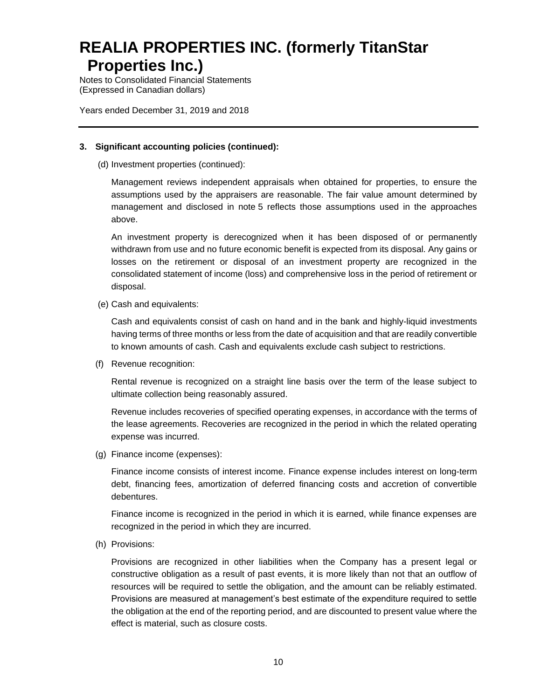Notes to Consolidated Financial Statements (Expressed in Canadian dollars)

Years ended December 31, 2019 and 2018

#### **3. Significant accounting policies (continued):**

(d) Investment properties (continued):

Management reviews independent appraisals when obtained for properties, to ensure the assumptions used by the appraisers are reasonable. The fair value amount determined by management and disclosed in note 5 reflects those assumptions used in the approaches above.

An investment property is derecognized when it has been disposed of or permanently withdrawn from use and no future economic benefit is expected from its disposal. Any gains or losses on the retirement or disposal of an investment property are recognized in the consolidated statement of income (loss) and comprehensive loss in the period of retirement or disposal.

(e) Cash and equivalents:

Cash and equivalents consist of cash on hand and in the bank and highly-liquid investments having terms of three months or less from the date of acquisition and that are readily convertible to known amounts of cash. Cash and equivalents exclude cash subject to restrictions.

(f) Revenue recognition:

Rental revenue is recognized on a straight line basis over the term of the lease subject to ultimate collection being reasonably assured.

Revenue includes recoveries of specified operating expenses, in accordance with the terms of the lease agreements. Recoveries are recognized in the period in which the related operating expense was incurred.

(g) Finance income (expenses):

Finance income consists of interest income. Finance expense includes interest on long-term debt, financing fees, amortization of deferred financing costs and accretion of convertible debentures.

Finance income is recognized in the period in which it is earned, while finance expenses are recognized in the period in which they are incurred.

(h) Provisions:

Provisions are recognized in other liabilities when the Company has a present legal or constructive obligation as a result of past events, it is more likely than not that an outflow of resources will be required to settle the obligation, and the amount can be reliably estimated. Provisions are measured at management's best estimate of the expenditure required to settle the obligation at the end of the reporting period, and are discounted to present value where the effect is material, such as closure costs.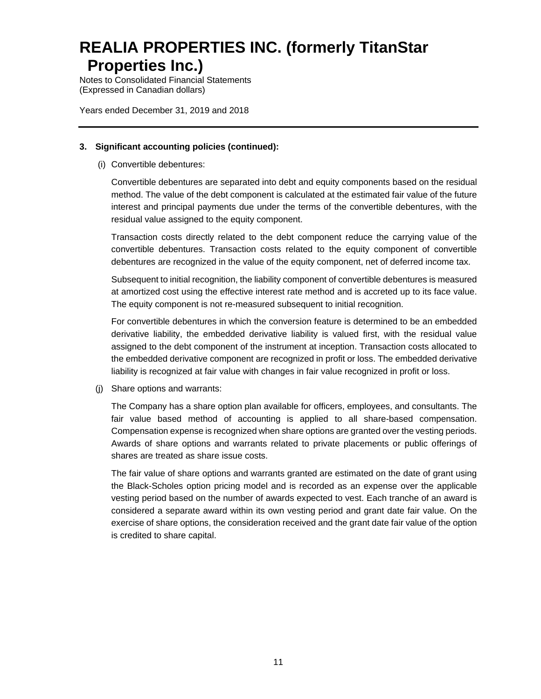Notes to Consolidated Financial Statements (Expressed in Canadian dollars)

Years ended December 31, 2019 and 2018

#### **3. Significant accounting policies (continued):**

(i) Convertible debentures:

Convertible debentures are separated into debt and equity components based on the residual method. The value of the debt component is calculated at the estimated fair value of the future interest and principal payments due under the terms of the convertible debentures, with the residual value assigned to the equity component.

Transaction costs directly related to the debt component reduce the carrying value of the convertible debentures. Transaction costs related to the equity component of convertible debentures are recognized in the value of the equity component, net of deferred income tax.

Subsequent to initial recognition, the liability component of convertible debentures is measured at amortized cost using the effective interest rate method and is accreted up to its face value. The equity component is not re-measured subsequent to initial recognition.

For convertible debentures in which the conversion feature is determined to be an embedded derivative liability, the embedded derivative liability is valued first, with the residual value assigned to the debt component of the instrument at inception. Transaction costs allocated to the embedded derivative component are recognized in profit or loss. The embedded derivative liability is recognized at fair value with changes in fair value recognized in profit or loss.

(j) Share options and warrants:

The Company has a share option plan available for officers, employees, and consultants. The fair value based method of accounting is applied to all share-based compensation. Compensation expense is recognized when share options are granted over the vesting periods. Awards of share options and warrants related to private placements or public offerings of shares are treated as share issue costs.

The fair value of share options and warrants granted are estimated on the date of grant using the Black-Scholes option pricing model and is recorded as an expense over the applicable vesting period based on the number of awards expected to vest. Each tranche of an award is considered a separate award within its own vesting period and grant date fair value. On the exercise of share options, the consideration received and the grant date fair value of the option is credited to share capital.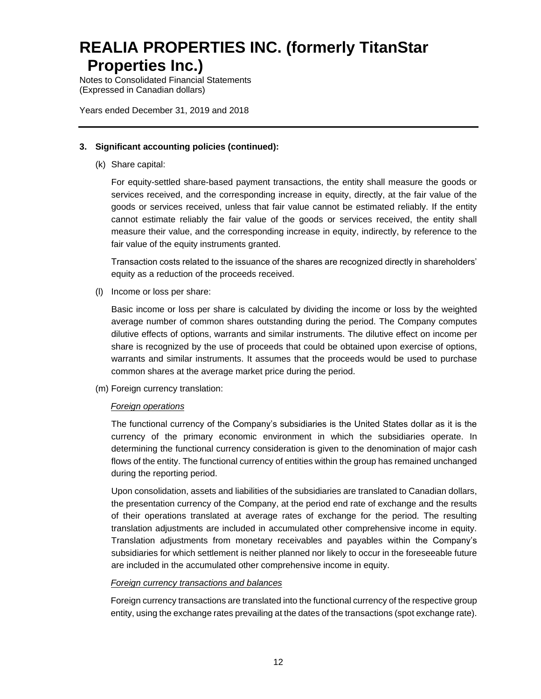Notes to Consolidated Financial Statements (Expressed in Canadian dollars)

Years ended December 31, 2019 and 2018

#### **3. Significant accounting policies (continued):**

(k) Share capital:

For equity-settled share-based payment transactions, the entity shall measure the goods or services received, and the corresponding increase in equity, directly, at the fair value of the goods or services received, unless that fair value cannot be estimated reliably. If the entity cannot estimate reliably the fair value of the goods or services received, the entity shall measure their value, and the corresponding increase in equity, indirectly, by reference to the fair value of the equity instruments granted.

Transaction costs related to the issuance of the shares are recognized directly in shareholders' equity as a reduction of the proceeds received.

(l) Income or loss per share:

Basic income or loss per share is calculated by dividing the income or loss by the weighted average number of common shares outstanding during the period. The Company computes dilutive effects of options, warrants and similar instruments. The dilutive effect on income per share is recognized by the use of proceeds that could be obtained upon exercise of options, warrants and similar instruments. It assumes that the proceeds would be used to purchase common shares at the average market price during the period.

(m) Foreign currency translation:

#### *Foreign operations*

The functional currency of the Company's subsidiaries is the United States dollar as it is the currency of the primary economic environment in which the subsidiaries operate. In determining the functional currency consideration is given to the denomination of major cash flows of the entity. The functional currency of entities within the group has remained unchanged during the reporting period.

Upon consolidation, assets and liabilities of the subsidiaries are translated to Canadian dollars, the presentation currency of the Company, at the period end rate of exchange and the results of their operations translated at average rates of exchange for the period. The resulting translation adjustments are included in accumulated other comprehensive income in equity. Translation adjustments from monetary receivables and payables within the Company's subsidiaries for which settlement is neither planned nor likely to occur in the foreseeable future are included in the accumulated other comprehensive income in equity.

#### *Foreign currency transactions and balances*

Foreign currency transactions are translated into the functional currency of the respective group entity, using the exchange rates prevailing at the dates of the transactions (spot exchange rate).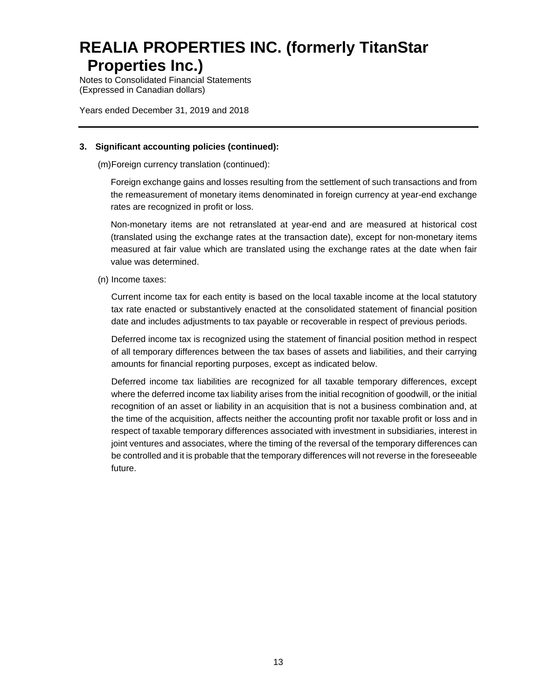Notes to Consolidated Financial Statements (Expressed in Canadian dollars)

Years ended December 31, 2019 and 2018

#### **3. Significant accounting policies (continued):**

(m)Foreign currency translation (continued):

Foreign exchange gains and losses resulting from the settlement of such transactions and from the remeasurement of monetary items denominated in foreign currency at year-end exchange rates are recognized in profit or loss.

Non-monetary items are not retranslated at year-end and are measured at historical cost (translated using the exchange rates at the transaction date), except for non-monetary items measured at fair value which are translated using the exchange rates at the date when fair value was determined.

#### (n) Income taxes:

Current income tax for each entity is based on the local taxable income at the local statutory tax rate enacted or substantively enacted at the consolidated statement of financial position date and includes adjustments to tax payable or recoverable in respect of previous periods.

Deferred income tax is recognized using the statement of financial position method in respect of all temporary differences between the tax bases of assets and liabilities, and their carrying amounts for financial reporting purposes, except as indicated below.

Deferred income tax liabilities are recognized for all taxable temporary differences, except where the deferred income tax liability arises from the initial recognition of goodwill, or the initial recognition of an asset or liability in an acquisition that is not a business combination and, at the time of the acquisition, affects neither the accounting profit nor taxable profit or loss and in respect of taxable temporary differences associated with investment in subsidiaries, interest in joint ventures and associates, where the timing of the reversal of the temporary differences can be controlled and it is probable that the temporary differences will not reverse in the foreseeable future.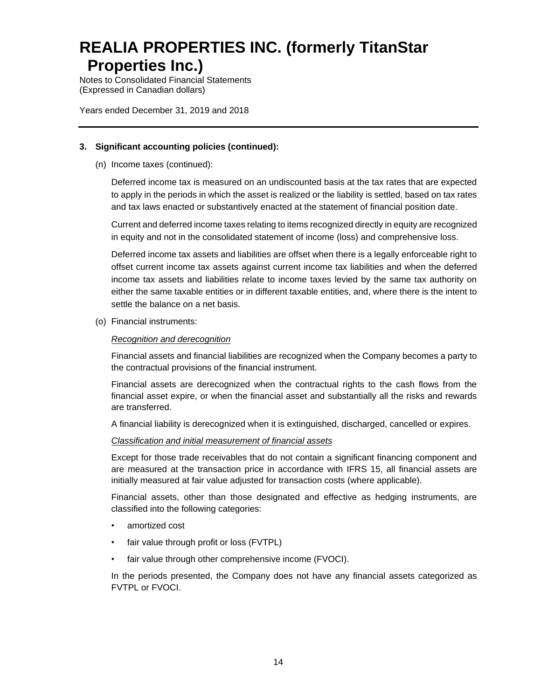Notes to Consolidated Financial Statements (Expressed in Canadian dollars)

Years ended December 31, 2019 and 2018

#### **3. Significant accounting policies (continued):**

(n) Income taxes (continued):

Deferred income tax is measured on an undiscounted basis at the tax rates that are expected to apply in the periods in which the asset is realized or the liability is settled, based on tax rates and tax laws enacted or substantively enacted at the statement of financial position date.

Current and deferred income taxes relating to items recognized directly in equity are recognized in equity and not in the consolidated statement of income (loss) and comprehensive loss.

Deferred income tax assets and liabilities are offset when there is a legally enforceable right to offset current income tax assets against current income tax liabilities and when the deferred income tax assets and liabilities relate to income taxes levied by the same tax authority on either the same taxable entities or in different taxable entities, and, where there is the intent to settle the balance on a net basis.

(o) Financial instruments:

#### *Recognition and derecognition*

Financial assets and financial liabilities are recognized when the Company becomes a party to the contractual provisions of the financial instrument.

Financial assets are derecognized when the contractual rights to the cash flows from the financial asset expire, or when the financial asset and substantially all the risks and rewards are transferred.

A financial liability is derecognized when it is extinguished, discharged, cancelled or expires.

#### *Classification and initial measurement of financial assets*

Except for those trade receivables that do not contain a significant financing component and are measured at the transaction price in accordance with IFRS 15, all financial assets are initially measured at fair value adjusted for transaction costs (where applicable).

Financial assets, other than those designated and effective as hedging instruments, are classified into the following categories:

- amortized cost
- fair value through profit or loss (FVTPL)
- fair value through other comprehensive income (FVOCI).

In the periods presented, the Company does not have any financial assets categorized as FVTPL or FVOCI.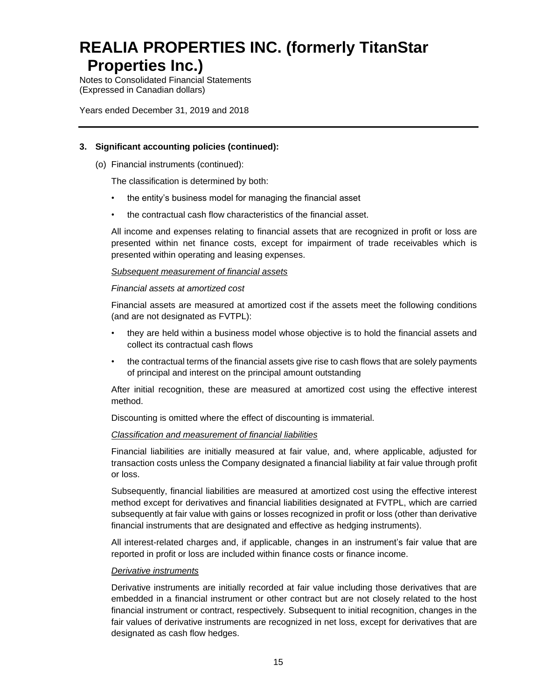Notes to Consolidated Financial Statements (Expressed in Canadian dollars)

Years ended December 31, 2019 and 2018

#### **3. Significant accounting policies (continued):**

(o) Financial instruments (continued):

The classification is determined by both:

- the entity's business model for managing the financial asset
- the contractual cash flow characteristics of the financial asset.

All income and expenses relating to financial assets that are recognized in profit or loss are presented within net finance costs, except for impairment of trade receivables which is presented within operating and leasing expenses.

#### *Subsequent measurement of financial assets*

#### *Financial assets at amortized cost*

Financial assets are measured at amortized cost if the assets meet the following conditions (and are not designated as FVTPL):

- they are held within a business model whose objective is to hold the financial assets and collect its contractual cash flows
- the contractual terms of the financial assets give rise to cash flows that are solely payments of principal and interest on the principal amount outstanding

After initial recognition, these are measured at amortized cost using the effective interest method.

Discounting is omitted where the effect of discounting is immaterial.

#### *Classification and measurement of financial liabilities*

Financial liabilities are initially measured at fair value, and, where applicable, adjusted for transaction costs unless the Company designated a financial liability at fair value through profit or loss.

Subsequently, financial liabilities are measured at amortized cost using the effective interest method except for derivatives and financial liabilities designated at FVTPL, which are carried subsequently at fair value with gains or losses recognized in profit or loss (other than derivative financial instruments that are designated and effective as hedging instruments).

All interest-related charges and, if applicable, changes in an instrument's fair value that are reported in profit or loss are included within finance costs or finance income.

#### *Derivative instruments*

Derivative instruments are initially recorded at fair value including those derivatives that are embedded in a financial instrument or other contract but are not closely related to the host financial instrument or contract, respectively. Subsequent to initial recognition, changes in the fair values of derivative instruments are recognized in net loss, except for derivatives that are designated as cash flow hedges.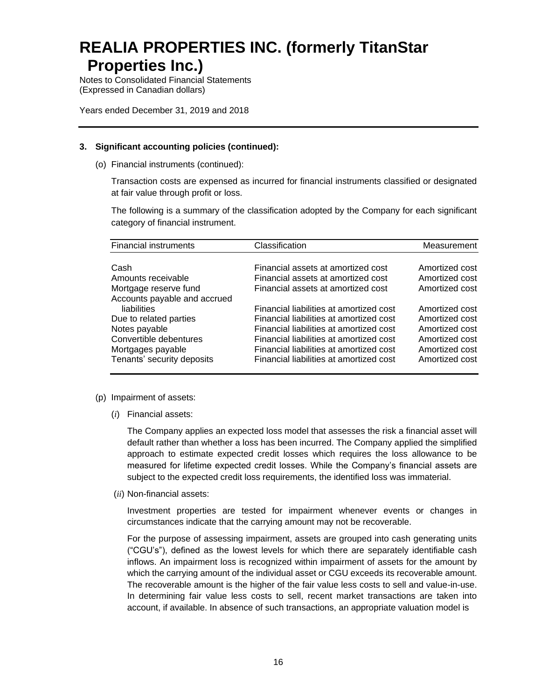Notes to Consolidated Financial Statements (Expressed in Canadian dollars)

Years ended December 31, 2019 and 2018

#### **3. Significant accounting policies (continued):**

(o) Financial instruments (continued):

Transaction costs are expensed as incurred for financial instruments classified or designated at fair value through profit or loss.

The following is a summary of the classification adopted by the Company for each significant category of financial instrument.

| <b>Financial instruments</b> | Classification                          | Measurement    |
|------------------------------|-----------------------------------------|----------------|
|                              |                                         |                |
| Cash                         | Financial assets at amortized cost      | Amortized cost |
| Amounts receivable           | Financial assets at amortized cost      | Amortized cost |
| Mortgage reserve fund        | Financial assets at amortized cost      | Amortized cost |
| Accounts payable and accrued |                                         |                |
| liabilities                  | Financial liabilities at amortized cost | Amortized cost |
| Due to related parties       | Financial liabilities at amortized cost | Amortized cost |
| Notes payable                | Financial liabilities at amortized cost | Amortized cost |
| Convertible debentures       | Financial liabilities at amortized cost | Amortized cost |
| Mortgages payable            | Financial liabilities at amortized cost | Amortized cost |
| Tenants' security deposits   | Financial liabilities at amortized cost | Amortized cost |
|                              |                                         |                |

#### (p) Impairment of assets:

(*i*) Financial assets:

The Company applies an expected loss model that assesses the risk a financial asset will default rather than whether a loss has been incurred. The Company applied the simplified approach to estimate expected credit losses which requires the loss allowance to be measured for lifetime expected credit losses. While the Company's financial assets are subject to the expected credit loss requirements, the identified loss was immaterial.

(*ii*) Non-financial assets:

Investment properties are tested for impairment whenever events or changes in circumstances indicate that the carrying amount may not be recoverable.

For the purpose of assessing impairment, assets are grouped into cash generating units ("CGU's"), defined as the lowest levels for which there are separately identifiable cash inflows. An impairment loss is recognized within impairment of assets for the amount by which the carrying amount of the individual asset or CGU exceeds its recoverable amount. The recoverable amount is the higher of the fair value less costs to sell and value-in-use. In determining fair value less costs to sell, recent market transactions are taken into account, if available. In absence of such transactions, an appropriate valuation model is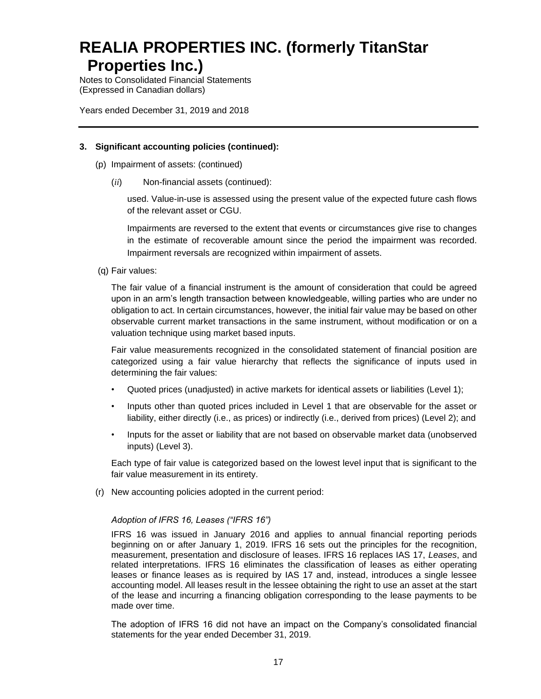Notes to Consolidated Financial Statements (Expressed in Canadian dollars)

Years ended December 31, 2019 and 2018

#### **3. Significant accounting policies (continued):**

- (p) Impairment of assets: (continued)
	- (*ii*) Non-financial assets (continued):

used. Value-in-use is assessed using the present value of the expected future cash flows of the relevant asset or CGU.

Impairments are reversed to the extent that events or circumstances give rise to changes in the estimate of recoverable amount since the period the impairment was recorded. Impairment reversals are recognized within impairment of assets.

(q) Fair values:

The fair value of a financial instrument is the amount of consideration that could be agreed upon in an arm's length transaction between knowledgeable, willing parties who are under no obligation to act. In certain circumstances, however, the initial fair value may be based on other observable current market transactions in the same instrument, without modification or on a valuation technique using market based inputs.

Fair value measurements recognized in the consolidated statement of financial position are categorized using a fair value hierarchy that reflects the significance of inputs used in determining the fair values:

- Quoted prices (unadjusted) in active markets for identical assets or liabilities (Level 1);
- Inputs other than quoted prices included in Level 1 that are observable for the asset or liability, either directly (i.e., as prices) or indirectly (i.e., derived from prices) (Level 2); and
- Inputs for the asset or liability that are not based on observable market data (unobserved inputs) (Level 3).

Each type of fair value is categorized based on the lowest level input that is significant to the fair value measurement in its entirety.

(r) New accounting policies adopted in the current period:

#### *Adoption of IFRS 16, Leases ("IFRS 16")*

IFRS 16 was issued in January 2016 and applies to annual financial reporting periods beginning on or after January 1, 2019. IFRS 16 sets out the principles for the recognition, measurement, presentation and disclosure of leases. IFRS 16 replaces IAS 17, *Leases*, and related interpretations. IFRS 16 eliminates the classification of leases as either operating leases or finance leases as is required by IAS 17 and, instead, introduces a single lessee accounting model. All leases result in the lessee obtaining the right to use an asset at the start of the lease and incurring a financing obligation corresponding to the lease payments to be made over time.

The adoption of IFRS 16 did not have an impact on the Company's consolidated financial statements for the year ended December 31, 2019.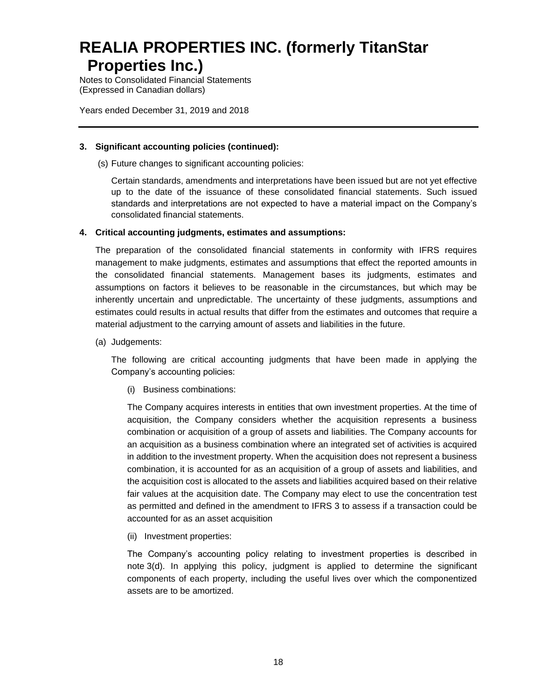Notes to Consolidated Financial Statements (Expressed in Canadian dollars)

Years ended December 31, 2019 and 2018

#### **3. Significant accounting policies (continued):**

(s) Future changes to significant accounting policies:

Certain standards, amendments and interpretations have been issued but are not yet effective up to the date of the issuance of these consolidated financial statements. Such issued standards and interpretations are not expected to have a material impact on the Company's consolidated financial statements.

#### **4. Critical accounting judgments, estimates and assumptions:**

The preparation of the consolidated financial statements in conformity with IFRS requires management to make judgments, estimates and assumptions that effect the reported amounts in the consolidated financial statements. Management bases its judgments, estimates and assumptions on factors it believes to be reasonable in the circumstances, but which may be inherently uncertain and unpredictable. The uncertainty of these judgments, assumptions and estimates could results in actual results that differ from the estimates and outcomes that require a material adjustment to the carrying amount of assets and liabilities in the future.

(a) Judgements:

The following are critical accounting judgments that have been made in applying the Company's accounting policies:

(i) Business combinations:

The Company acquires interests in entities that own investment properties. At the time of acquisition, the Company considers whether the acquisition represents a business combination or acquisition of a group of assets and liabilities. The Company accounts for an acquisition as a business combination where an integrated set of activities is acquired in addition to the investment property. When the acquisition does not represent a business combination, it is accounted for as an acquisition of a group of assets and liabilities, and the acquisition cost is allocated to the assets and liabilities acquired based on their relative fair values at the acquisition date. The Company may elect to use the concentration test as permitted and defined in the amendment to IFRS 3 to assess if a transaction could be accounted for as an asset acquisition

(ii) Investment properties:

The Company's accounting policy relating to investment properties is described in note 3(d). In applying this policy, judgment is applied to determine the significant components of each property, including the useful lives over which the componentized assets are to be amortized.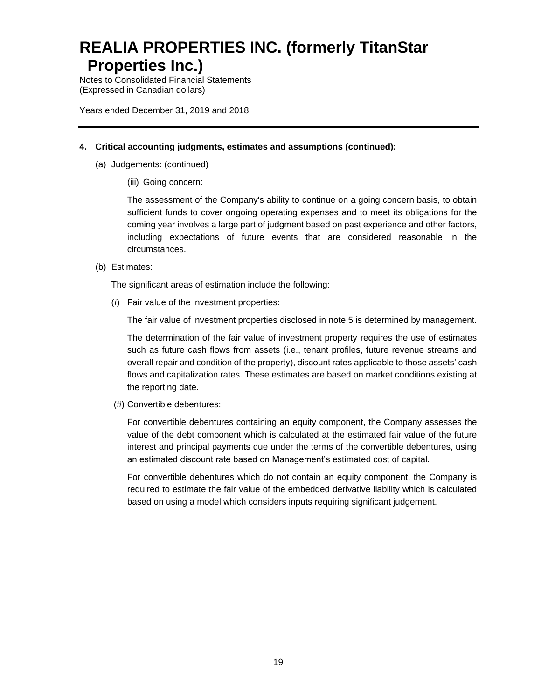Notes to Consolidated Financial Statements (Expressed in Canadian dollars)

Years ended December 31, 2019 and 2018

- **4. Critical accounting judgments, estimates and assumptions (continued):**
	- (a) Judgements: (continued)
		- (iii) Going concern:

The assessment of the Company's ability to continue on a going concern basis, to obtain sufficient funds to cover ongoing operating expenses and to meet its obligations for the coming year involves a large part of judgment based on past experience and other factors, including expectations of future events that are considered reasonable in the circumstances.

(b) Estimates:

The significant areas of estimation include the following:

(*i*) Fair value of the investment properties:

The fair value of investment properties disclosed in note 5 is determined by management.

The determination of the fair value of investment property requires the use of estimates such as future cash flows from assets (i.e., tenant profiles, future revenue streams and overall repair and condition of the property), discount rates applicable to those assets' cash flows and capitalization rates. These estimates are based on market conditions existing at the reporting date.

(*ii*) Convertible debentures:

For convertible debentures containing an equity component, the Company assesses the value of the debt component which is calculated at the estimated fair value of the future interest and principal payments due under the terms of the convertible debentures, using an estimated discount rate based on Management's estimated cost of capital.

For convertible debentures which do not contain an equity component, the Company is required to estimate the fair value of the embedded derivative liability which is calculated based on using a model which considers inputs requiring significant judgement.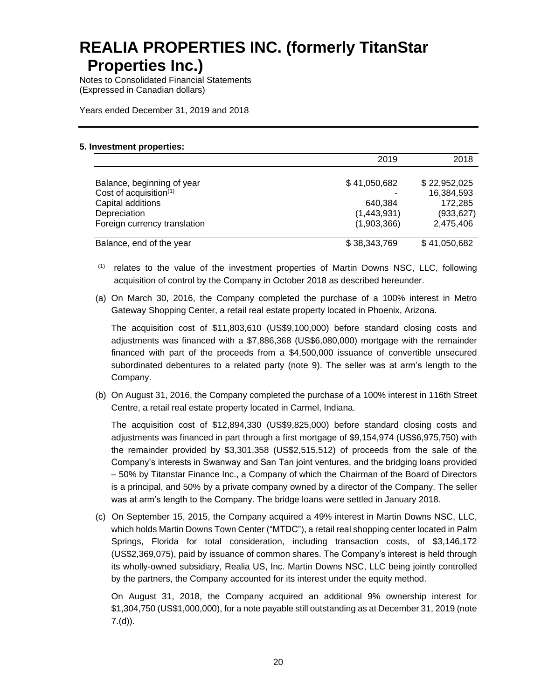Notes to Consolidated Financial Statements (Expressed in Canadian dollars)

Years ended December 31, 2019 and 2018

#### **5. Investment properties:**

|                              | 2019         | 2018         |
|------------------------------|--------------|--------------|
|                              |              |              |
| Balance, beginning of year   | \$41,050,682 | \$22,952,025 |
| Cost of acquisition $(1)$    |              | 16,384,593   |
| Capital additions            | 640.384      | 172,285      |
| Depreciation                 | (1,443,931)  | (933, 627)   |
| Foreign currency translation | (1,903,366)  | 2,475,406    |
| Balance, end of the year     | \$38,343,769 | \$41,050,682 |

- $(1)$  relates to the value of the investment properties of Martin Downs NSC, LLC, following acquisition of control by the Company in October 2018 as described hereunder.
- (a) On March 30, 2016, the Company completed the purchase of a 100% interest in Metro Gateway Shopping Center, a retail real estate property located in Phoenix, Arizona.

The acquisition cost of \$11,803,610 (US\$9,100,000) before standard closing costs and adjustments was financed with a \$7,886,368 (US\$6,080,000) mortgage with the remainder financed with part of the proceeds from a \$4,500,000 issuance of convertible unsecured subordinated debentures to a related party (note 9). The seller was at arm's length to the Company.

(b) On August 31, 2016, the Company completed the purchase of a 100% interest in 116th Street Centre, a retail real estate property located in Carmel, Indiana.

The acquisition cost of \$12,894,330 (US\$9,825,000) before standard closing costs and adjustments was financed in part through a first mortgage of \$9,154,974 (US\$6,975,750) with the remainder provided by \$3,301,358 (US\$2,515,512) of proceeds from the sale of the Company's interests in Swanway and San Tan joint ventures, and the bridging loans provided – 50% by Titanstar Finance Inc., a Company of which the Chairman of the Board of Directors is a principal, and 50% by a private company owned by a director of the Company. The seller was at arm's length to the Company. The bridge loans were settled in January 2018.

(c) On September 15, 2015, the Company acquired a 49% interest in Martin Downs NSC, LLC, which holds Martin Downs Town Center ("MTDC"), a retail real shopping center located in Palm Springs, Florida for total consideration, including transaction costs, of \$3,146,172 (US\$2,369,075), paid by issuance of common shares. The Company's interest is held through its wholly-owned subsidiary, Realia US, Inc. Martin Downs NSC, LLC being jointly controlled by the partners, the Company accounted for its interest under the equity method.

On August 31, 2018, the Company acquired an additional 9% ownership interest for \$1,304,750 (US\$1,000,000), for a note payable still outstanding as at December 31, 2019 (note 7.(d)).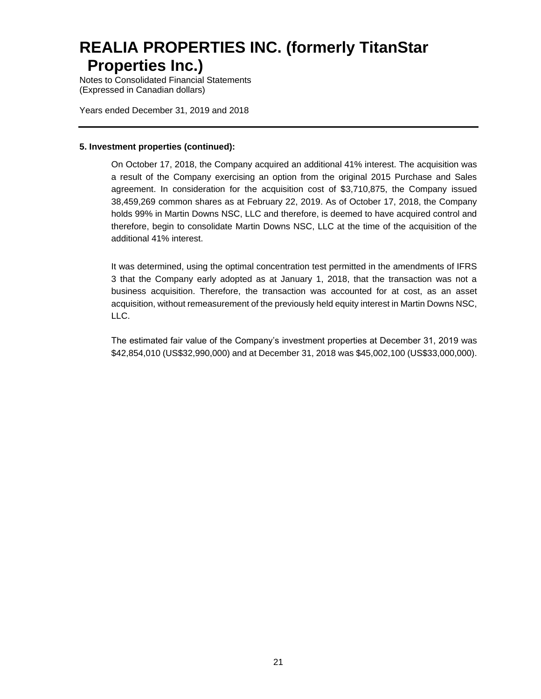Notes to Consolidated Financial Statements (Expressed in Canadian dollars)

Years ended December 31, 2019 and 2018

#### **5. Investment properties (continued):**

On October 17, 2018, the Company acquired an additional 41% interest. The acquisition was a result of the Company exercising an option from the original 2015 Purchase and Sales agreement. In consideration for the acquisition cost of \$3,710,875, the Company issued 38,459,269 common shares as at February 22, 2019. As of October 17, 2018, the Company holds 99% in Martin Downs NSC, LLC and therefore, is deemed to have acquired control and therefore, begin to consolidate Martin Downs NSC, LLC at the time of the acquisition of the additional 41% interest.

It was determined, using the optimal concentration test permitted in the amendments of IFRS 3 that the Company early adopted as at January 1, 2018, that the transaction was not a business acquisition. Therefore, the transaction was accounted for at cost, as an asset acquisition, without remeasurement of the previously held equity interest in Martin Downs NSC, LLC.

The estimated fair value of the Company's investment properties at December 31, 2019 was \$42,854,010 (US\$32,990,000) and at December 31, 2018 was \$45,002,100 (US\$33,000,000).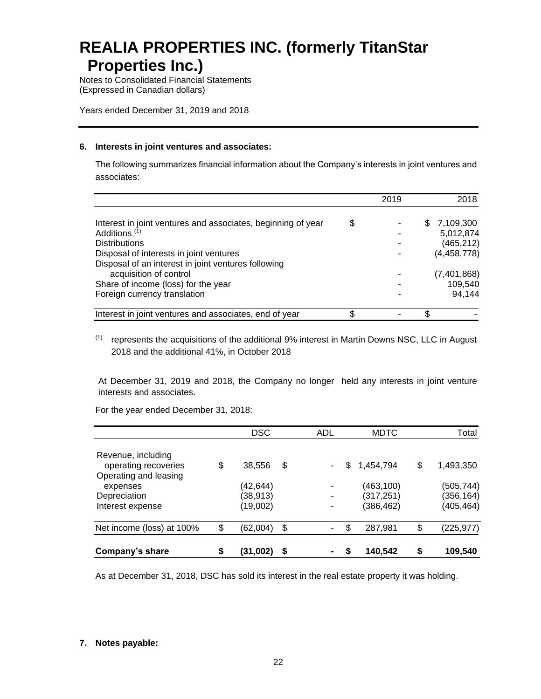Notes to Consolidated Financial Statements (Expressed in Canadian dollars)

Years ended December 31, 2019 and 2018

#### **6. Interests in joint ventures and associates:**

The following summarizes financial information about the Company's interests in joint ventures and associates:

|                                                              | 2019 | 2018            |
|--------------------------------------------------------------|------|-----------------|
|                                                              |      |                 |
| Interest in joint ventures and associates, beginning of year | \$   | 7,109,300<br>S. |
| Additions <sup>(1)</sup>                                     |      | 5,012,874       |
| <b>Distributions</b>                                         |      | (465, 212)      |
| Disposal of interests in joint ventures                      |      | (4, 458, 778)   |
| Disposal of an interest in joint ventures following          |      |                 |
| acquisition of control                                       |      | (7,401,868)     |
| Share of income (loss) for the year                          |      | 109,540         |
| Foreign currency translation                                 |      | 94,144          |
| Interest in joint ventures and associates, end of year       |      |                 |

(1) represents the acquisitions of the additional 9% interest in Martin Downs NSC, LLC in August 2018 and the additional 41%, in October 2018

At December 31, 2019 and 2018, the Company no longer held any interests in joint venture interests and associates.

For the year ended December 31, 2018:

| Company's share                                                     | \$<br>(31,002)                    | \$  |     | 140,542                              | S  | 109,540                                |
|---------------------------------------------------------------------|-----------------------------------|-----|-----|--------------------------------------|----|----------------------------------------|
| Net income (loss) at 100%                                           | \$<br>(62,004)                    | \$  | \$  | 287,981                              | \$ | (225,977)                              |
| expenses<br>Depreciation<br>Interest expense                        | (42,644)<br>(38, 913)<br>(19,002) |     |     | (463,100)<br>(317, 251)<br>(386,462) |    | (505, 744)<br>(356, 164)<br>(405, 464) |
| Revenue, including<br>operating recoveries<br>Operating and leasing | \$<br>38,556                      | \$  | \$. | 1,454,794                            | \$ | 1,493,350                              |
|                                                                     | <b>DSC</b>                        | ADL |     | <b>MDTC</b>                          |    | Total                                  |

As at December 31, 2018, DSC has sold its interest in the real estate property it was holding.

#### **7. Notes payable:**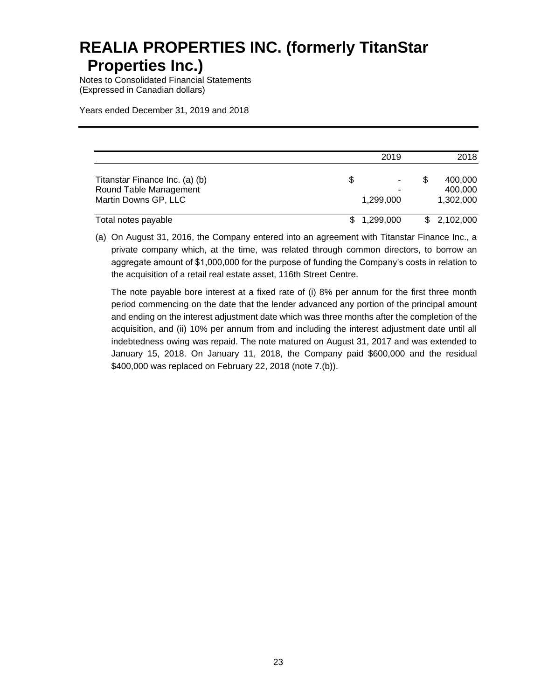Notes to Consolidated Financial Statements (Expressed in Canadian dollars)

Years ended December 31, 2019 and 2018

|                                                                                  |   | 2019      |   | 2018                            |
|----------------------------------------------------------------------------------|---|-----------|---|---------------------------------|
| Titanstar Finance Inc. (a) (b)<br>Round Table Management<br>Martin Downs GP, LLC | S | 1,299,000 | S | 400,000<br>400,000<br>1,302,000 |
| Total notes payable                                                              |   | 1,299,000 |   | \$2,102,000                     |

(a) On August 31, 2016, the Company entered into an agreement with Titanstar Finance Inc., a private company which, at the time, was related through common directors, to borrow an aggregate amount of \$1,000,000 for the purpose of funding the Company's costs in relation to the acquisition of a retail real estate asset, 116th Street Centre.

The note payable bore interest at a fixed rate of (i) 8% per annum for the first three month period commencing on the date that the lender advanced any portion of the principal amount and ending on the interest adjustment date which was three months after the completion of the acquisition, and (ii) 10% per annum from and including the interest adjustment date until all indebtedness owing was repaid. The note matured on August 31, 2017 and was extended to January 15, 2018. On January 11, 2018, the Company paid \$600,000 and the residual \$400,000 was replaced on February 22, 2018 (note 7.(b)).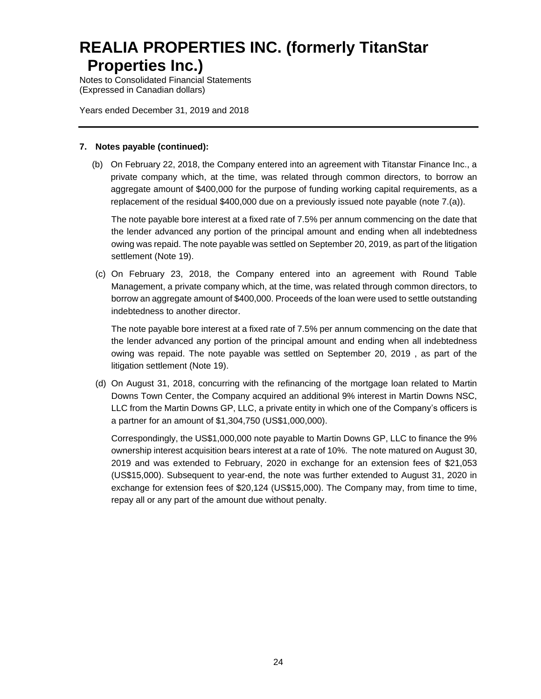Notes to Consolidated Financial Statements (Expressed in Canadian dollars)

Years ended December 31, 2019 and 2018

#### **7. Notes payable (continued):**

(b) On February 22, 2018, the Company entered into an agreement with Titanstar Finance Inc., a private company which, at the time, was related through common directors, to borrow an aggregate amount of \$400,000 for the purpose of funding working capital requirements, as a replacement of the residual \$400,000 due on a previously issued note payable (note 7.(a)).

The note payable bore interest at a fixed rate of 7.5% per annum commencing on the date that the lender advanced any portion of the principal amount and ending when all indebtedness owing was repaid. The note payable was settled on September 20, 2019, as part of the litigation settlement (Note 19).

(c) On February 23, 2018, the Company entered into an agreement with Round Table Management, a private company which, at the time, was related through common directors, to borrow an aggregate amount of \$400,000. Proceeds of the loan were used to settle outstanding indebtedness to another director.

The note payable bore interest at a fixed rate of 7.5% per annum commencing on the date that the lender advanced any portion of the principal amount and ending when all indebtedness owing was repaid. The note payable was settled on September 20, 2019 , as part of the litigation settlement (Note 19).

(d) On August 31, 2018, concurring with the refinancing of the mortgage loan related to Martin Downs Town Center, the Company acquired an additional 9% interest in Martin Downs NSC, LLC from the Martin Downs GP, LLC, a private entity in which one of the Company's officers is a partner for an amount of \$1,304,750 (US\$1,000,000).

Correspondingly, the US\$1,000,000 note payable to Martin Downs GP, LLC to finance the 9% ownership interest acquisition bears interest at a rate of 10%. The note matured on August 30, 2019 and was extended to February, 2020 in exchange for an extension fees of \$21,053 (US\$15,000). Subsequent to year-end, the note was further extended to August 31, 2020 in exchange for extension fees of \$20,124 (US\$15,000). The Company may, from time to time, repay all or any part of the amount due without penalty.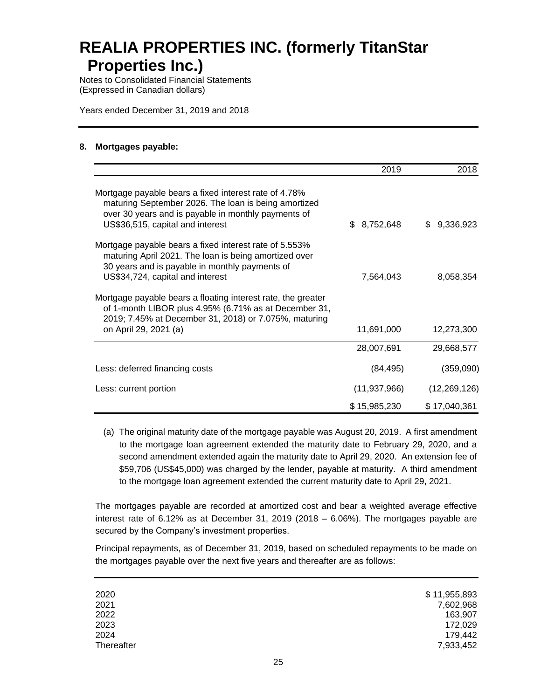Notes to Consolidated Financial Statements (Expressed in Canadian dollars)

Years ended December 31, 2019 and 2018

#### **8. Mortgages payable:**

|                                                                                                                                                                                                          | 2019             | 2018           |
|----------------------------------------------------------------------------------------------------------------------------------------------------------------------------------------------------------|------------------|----------------|
| Mortgage payable bears a fixed interest rate of 4.78%<br>maturing September 2026. The loan is being amortized<br>over 30 years and is payable in monthly payments of<br>US\$36,515, capital and interest | 8,752,648<br>\$. | 9,336,923      |
| Mortgage payable bears a fixed interest rate of 5.553%<br>maturing April 2021. The loan is being amortized over<br>30 years and is payable in monthly payments of<br>US\$34,724, capital and interest    | 7,564,043        | 8,058,354      |
| Mortgage payable bears a floating interest rate, the greater<br>of 1-month LIBOR plus 4.95% (6.71% as at December 31,<br>2019; 7.45% at December 31, 2018) or 7.075%, maturing<br>on April 29, 2021 (a)  | 11,691,000       | 12,273,300     |
|                                                                                                                                                                                                          | 28,007,691       | 29,668,577     |
| Less: deferred financing costs                                                                                                                                                                           | (84, 495)        | (359,090)      |
| Less: current portion                                                                                                                                                                                    | (11, 937, 966)   | (12, 269, 126) |
|                                                                                                                                                                                                          | \$15,985,230     | \$17,040,361   |

(a) The original maturity date of the mortgage payable was August 20, 2019. A first amendment to the mortgage loan agreement extended the maturity date to February 29, 2020, and a second amendment extended again the maturity date to April 29, 2020. An extension fee of \$59,706 (US\$45,000) was charged by the lender, payable at maturity. A third amendment to the mortgage loan agreement extended the current maturity date to April 29, 2021.

The mortgages payable are recorded at amortized cost and bear a weighted average effective interest rate of 6.12% as at December 31, 2019 (2018 – 6.06%). The mortgages payable are secured by the Company's investment properties.

Principal repayments, as of December 31, 2019, based on scheduled repayments to be made on the mortgages payable over the next five years and thereafter are as follows:

| 2020       | \$11,955,893 |
|------------|--------------|
| 2021       | 7,602,968    |
| 2022       | 163,907      |
| 2023       | 172,029      |
| 2024       | 179,442      |
| Thereafter | 7,933,452    |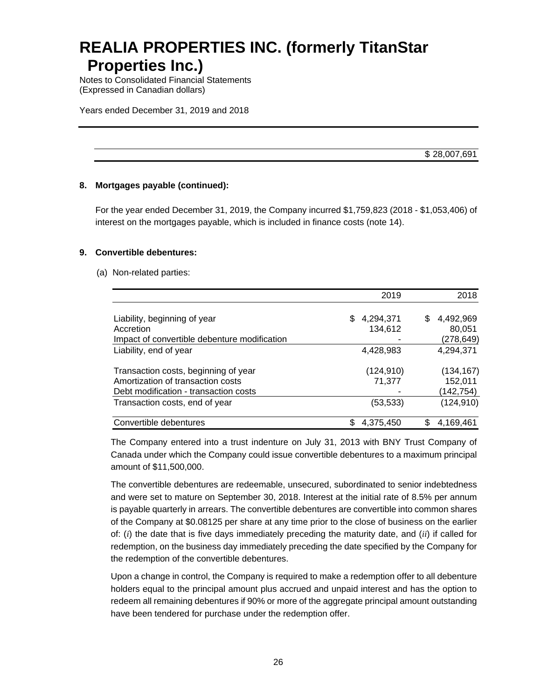Notes to Consolidated Financial Statements (Expressed in Canadian dollars)

Years ended December 31, 2019 and 2018

 $\overline{$}$  28,007,691

#### **8. Mortgages payable (continued):**

For the year ended December 31, 2019, the Company incurred \$1,759,823 (2018 - \$1,053,406) of interest on the mortgages payable, which is included in finance costs (note 14).

#### **9. Convertible debentures:**

(a) Non-related parties:

|                                              | 2019             | 2018             |
|----------------------------------------------|------------------|------------------|
| Liability, beginning of year                 | 4,294,371<br>\$. | 4,492,969<br>\$. |
| Accretion                                    | 134,612          | 80,051           |
| Impact of convertible debenture modification |                  | (278, 649)       |
| Liability, end of year                       | 4,428,983        | 4,294,371        |
| Transaction costs, beginning of year         | (124, 910)       | (134, 167)       |
| Amortization of transaction costs            | 71,377           | 152,011          |
| Debt modification - transaction costs        |                  | (142,754)        |
| Transaction costs, end of year               | (53, 533)        | (124, 910)       |
| Convertible debentures                       | 4,375,450        | \$<br>4,169,461  |

The Company entered into a trust indenture on July 31, 2013 with BNY Trust Company of Canada under which the Company could issue convertible debentures to a maximum principal amount of \$11,500,000.

The convertible debentures are redeemable, unsecured, subordinated to senior indebtedness and were set to mature on September 30, 2018. Interest at the initial rate of 8.5% per annum is payable quarterly in arrears. The convertible debentures are convertible into common shares of the Company at \$0.08125 per share at any time prior to the close of business on the earlier of: (*i*) the date that is five days immediately preceding the maturity date, and (*ii*) if called for redemption, on the business day immediately preceding the date specified by the Company for the redemption of the convertible debentures.

Upon a change in control, the Company is required to make a redemption offer to all debenture holders equal to the principal amount plus accrued and unpaid interest and has the option to redeem all remaining debentures if 90% or more of the aggregate principal amount outstanding have been tendered for purchase under the redemption offer.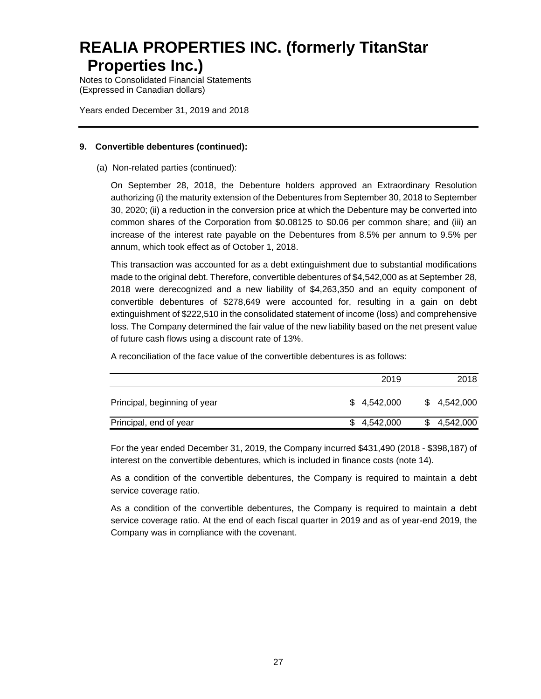Notes to Consolidated Financial Statements (Expressed in Canadian dollars)

Years ended December 31, 2019 and 2018

#### **9. Convertible debentures (continued):**

(a) Non-related parties (continued):

On September 28, 2018, the Debenture holders approved an Extraordinary Resolution authorizing (i) the maturity extension of the Debentures from September 30, 2018 to September 30, 2020; (ii) a reduction in the conversion price at which the Debenture may be converted into common shares of the Corporation from \$0.08125 to \$0.06 per common share; and (iii) an increase of the interest rate payable on the Debentures from 8.5% per annum to 9.5% per annum, which took effect as of October 1, 2018.

This transaction was accounted for as a debt extinguishment due to substantial modifications made to the original debt. Therefore, convertible debentures of \$4,542,000 as at September 28, 2018 were derecognized and a new liability of \$4,263,350 and an equity component of convertible debentures of \$278,649 were accounted for, resulting in a gain on debt extinguishment of \$222,510 in the consolidated statement of income (loss) and comprehensive loss. The Company determined the fair value of the new liability based on the net present value of future cash flows using a discount rate of 13%.

A reconciliation of the face value of the convertible debentures is as follows:

|                              | 2019        | 2018            |
|------------------------------|-------------|-----------------|
| Principal, beginning of year | \$4,542,000 | \$4,542,000     |
| Principal, end of year       | \$4,542,000 | 4,542,000<br>S. |

For the year ended December 31, 2019, the Company incurred \$431,490 (2018 - \$398,187) of interest on the convertible debentures, which is included in finance costs (note 14).

As a condition of the convertible debentures, the Company is required to maintain a debt service coverage ratio.

As a condition of the convertible debentures, the Company is required to maintain a debt service coverage ratio. At the end of each fiscal quarter in 2019 and as of year-end 2019, the Company was in compliance with the covenant.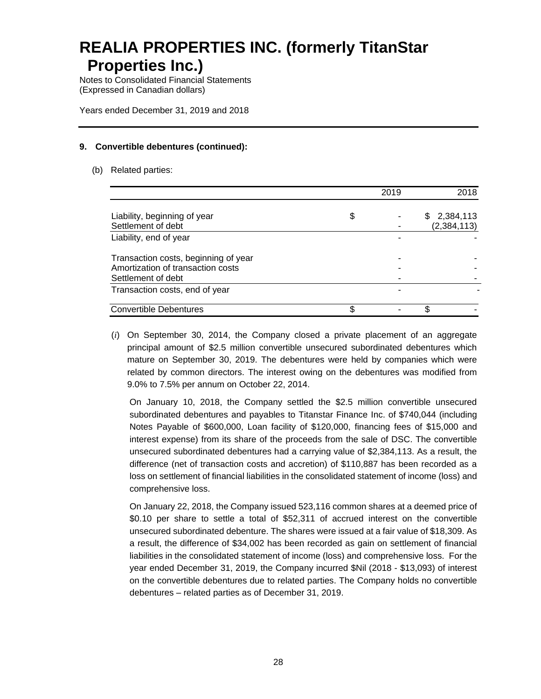Notes to Consolidated Financial Statements (Expressed in Canadian dollars)

Years ended December 31, 2019 and 2018

#### **9. Convertible debentures (continued):**

#### (b) Related parties:

|                                      | 2019 | 2018          |
|--------------------------------------|------|---------------|
|                                      |      |               |
| Liability, beginning of year         | \$   | \$ 2,384,113  |
| Settlement of debt                   |      | (2, 384, 113) |
| Liability, end of year               |      |               |
| Transaction costs, beginning of year |      |               |
| Amortization of transaction costs    |      |               |
| Settlement of debt                   |      |               |
| Transaction costs, end of year       |      |               |
| <b>Convertible Debentures</b>        |      |               |

(*i*) On September 30, 2014, the Company closed a private placement of an aggregate principal amount of \$2.5 million convertible unsecured subordinated debentures which mature on September 30, 2019. The debentures were held by companies which were related by common directors. The interest owing on the debentures was modified from 9.0% to 7.5% per annum on October 22, 2014.

On January 10, 2018, the Company settled the \$2.5 million convertible unsecured subordinated debentures and payables to Titanstar Finance Inc. of \$740,044 (including Notes Payable of \$600,000, Loan facility of \$120,000, financing fees of \$15,000 and interest expense) from its share of the proceeds from the sale of DSC. The convertible unsecured subordinated debentures had a carrying value of \$2,384,113. As a result, the difference (net of transaction costs and accretion) of \$110,887 has been recorded as a loss on settlement of financial liabilities in the consolidated statement of income (loss) and comprehensive loss.

On January 22, 2018, the Company issued 523,116 common shares at a deemed price of \$0.10 per share to settle a total of \$52,311 of accrued interest on the convertible unsecured subordinated debenture. The shares were issued at a fair value of \$18,309. As a result, the difference of \$34,002 has been recorded as gain on settlement of financial liabilities in the consolidated statement of income (loss) and comprehensive loss. For the year ended December 31, 2019, the Company incurred \$Nil (2018 - \$13,093) of interest on the convertible debentures due to related parties. The Company holds no convertible debentures – related parties as of December 31, 2019.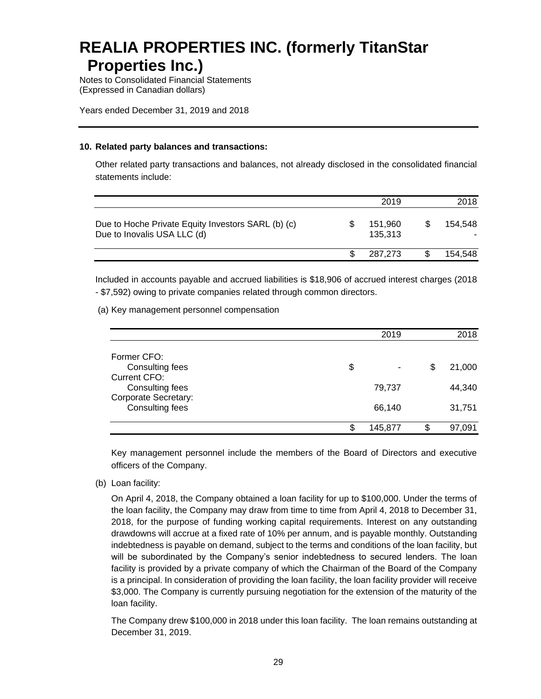Notes to Consolidated Financial Statements (Expressed in Canadian dollars)

Years ended December 31, 2019 and 2018

#### **10. Related party balances and transactions:**

Other related party transactions and balances, not already disclosed in the consolidated financial statements include:

|                                                                                   | 2019               | 2018    |
|-----------------------------------------------------------------------------------|--------------------|---------|
| Due to Hoche Private Equity Investors SARL (b) (c)<br>Due to Inovalis USA LLC (d) | 151.960<br>135,313 | 154.548 |
|                                                                                   | 287,273            | 154.548 |

Included in accounts payable and accrued liabilities is \$18,906 of accrued interest charges (2018 - \$7,592) owing to private companies related through common directors.

(a) Key management personnel compensation

|                                        |    | 2019    |    | 2018   |
|----------------------------------------|----|---------|----|--------|
| Former CFO:                            |    |         |    |        |
| Consulting fees                        | \$ | -       | S  | 21,000 |
| <b>Current CFO:</b><br>Consulting fees |    | 79,737  |    | 44,340 |
| Corporate Secretary:                   |    |         |    |        |
| Consulting fees                        |    | 66,140  |    | 31,751 |
|                                        | S  | 145,877 | \$ | 97,091 |

Key management personnel include the members of the Board of Directors and executive officers of the Company.

(b) Loan facility:

On April 4, 2018, the Company obtained a loan facility for up to \$100,000. Under the terms of the loan facility, the Company may draw from time to time from April 4, 2018 to December 31, 2018, for the purpose of funding working capital requirements. Interest on any outstanding drawdowns will accrue at a fixed rate of 10% per annum, and is payable monthly. Outstanding indebtedness is payable on demand, subject to the terms and conditions of the loan facility, but will be subordinated by the Company's senior indebtedness to secured lenders. The loan facility is provided by a private company of which the Chairman of the Board of the Company is a principal. In consideration of providing the loan facility, the loan facility provider will receive \$3,000. The Company is currently pursuing negotiation for the extension of the maturity of the loan facility.

The Company drew \$100,000 in 2018 under this loan facility. The loan remains outstanding at December 31, 2019.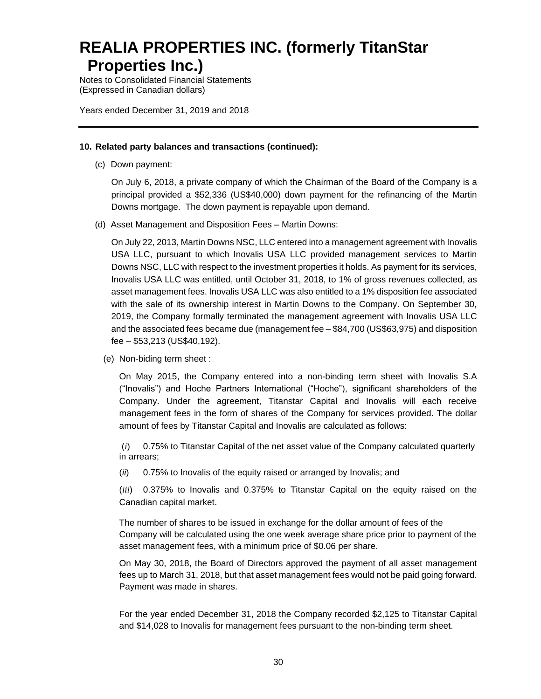Notes to Consolidated Financial Statements (Expressed in Canadian dollars)

Years ended December 31, 2019 and 2018

#### **10. Related party balances and transactions (continued):**

(c) Down payment:

On July 6, 2018, a private company of which the Chairman of the Board of the Company is a principal provided a \$52,336 (US\$40,000) down payment for the refinancing of the Martin Downs mortgage. The down payment is repayable upon demand.

(d) Asset Management and Disposition Fees – Martin Downs:

On July 22, 2013, Martin Downs NSC, LLC entered into a management agreement with Inovalis USA LLC, pursuant to which Inovalis USA LLC provided management services to Martin Downs NSC, LLC with respect to the investment properties it holds. As payment for its services, Inovalis USA LLC was entitled, until October 31, 2018, to 1% of gross revenues collected, as asset management fees. Inovalis USA LLC was also entitled to a 1% disposition fee associated with the sale of its ownership interest in Martin Downs to the Company. On September 30, 2019, the Company formally terminated the management agreement with Inovalis USA LLC and the associated fees became due (management fee – \$84,700 (US\$63,975) and disposition fee – \$53,213 (US\$40,192).

(e) Non-biding term sheet :

On May 2015, the Company entered into a non-binding term sheet with Inovalis S.A ("Inovalis") and Hoche Partners International ("Hoche"), significant shareholders of the Company. Under the agreement, Titanstar Capital and Inovalis will each receive management fees in the form of shares of the Company for services provided. The dollar amount of fees by Titanstar Capital and Inovalis are calculated as follows:

(*i*) 0.75% to Titanstar Capital of the net asset value of the Company calculated quarterly in arrears;

(*ii*) 0.75% to Inovalis of the equity raised or arranged by Inovalis; and

(*iii*) 0.375% to Inovalis and 0.375% to Titanstar Capital on the equity raised on the Canadian capital market.

The number of shares to be issued in exchange for the dollar amount of fees of the Company will be calculated using the one week average share price prior to payment of the asset management fees, with a minimum price of \$0.06 per share.

On May 30, 2018, the Board of Directors approved the payment of all asset management fees up to March 31, 2018, but that asset management fees would not be paid going forward. Payment was made in shares.

For the year ended December 31, 2018 the Company recorded \$2,125 to Titanstar Capital and \$14,028 to Inovalis for management fees pursuant to the non-binding term sheet.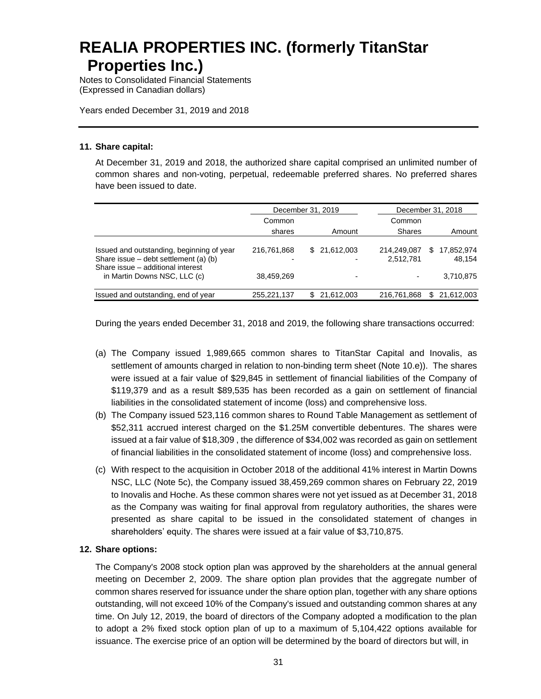Notes to Consolidated Financial Statements (Expressed in Canadian dollars)

Years ended December 31, 2019 and 2018

#### **11. Share capital:**

At December 31, 2019 and 2018, the authorized share capital comprised an unlimited number of common shares and non-voting, perpetual, redeemable preferred shares. No preferred shares have been issued to date.

|                                                                                                                           |             | December 31, 2019 |        |                          | December 31, 2018 |                      |  |
|---------------------------------------------------------------------------------------------------------------------------|-------------|-------------------|--------|--------------------------|-------------------|----------------------|--|
|                                                                                                                           | Common      |                   | Common |                          |                   |                      |  |
|                                                                                                                           | shares      |                   | Amount | <b>Shares</b>            |                   | Amount               |  |
| Issued and outstanding, beginning of year<br>Share issue $-$ debt settlement (a) (b)<br>Share issue - additional interest | 216,761,868 | 21,612,003<br>SS. |        | 214.249.087<br>2,512,781 | S                 | 17,852,974<br>48.154 |  |
| in Martin Downs NSC, LLC (c)                                                                                              | 38,459,269  |                   |        |                          |                   | 3,710,875            |  |
| Issued and outstanding, end of year                                                                                       | 255,221,137 | 21,612,003<br>S   |        | 216,761,868              | S                 | 21,612,003           |  |

During the years ended December 31, 2018 and 2019, the following share transactions occurred:

- (a) The Company issued 1,989,665 common shares to TitanStar Capital and Inovalis, as settlement of amounts charged in relation to non-binding term sheet (Note 10.e)). The shares were issued at a fair value of \$29,845 in settlement of financial liabilities of the Company of \$119,379 and as a result \$89,535 has been recorded as a gain on settlement of financial liabilities in the consolidated statement of income (loss) and comprehensive loss.
- (b) The Company issued 523,116 common shares to Round Table Management as settlement of \$52,311 accrued interest charged on the \$1.25M convertible debentures. The shares were issued at a fair value of \$18,309 , the difference of \$34,002 was recorded as gain on settlement of financial liabilities in the consolidated statement of income (loss) and comprehensive loss.
- (c) With respect to the acquisition in October 2018 of the additional 41% interest in Martin Downs NSC, LLC (Note 5c), the Company issued 38,459,269 common shares on February 22, 2019 to Inovalis and Hoche. As these common shares were not yet issued as at December 31, 2018 as the Company was waiting for final approval from regulatory authorities, the shares were presented as share capital to be issued in the consolidated statement of changes in shareholders' equity. The shares were issued at a fair value of \$3,710,875.

#### **12. Share options:**

The Company's 2008 stock option plan was approved by the shareholders at the annual general meeting on December 2, 2009. The share option plan provides that the aggregate number of common shares reserved for issuance under the share option plan, together with any share options outstanding, will not exceed 10% of the Company's issued and outstanding common shares at any time. On July 12, 2019, the board of directors of the Company adopted a modification to the plan to adopt a 2% fixed stock option plan of up to a maximum of 5,104,422 options available for issuance. The exercise price of an option will be determined by the board of directors but will, in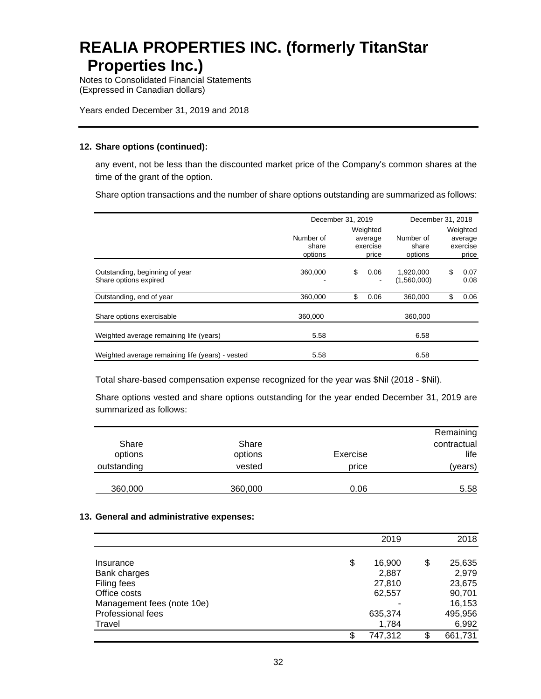Notes to Consolidated Financial Statements (Expressed in Canadian dollars)

Years ended December 31, 2019 and 2018

#### **12. Share options (continued):**

any event, not be less than the discounted market price of the Company's common shares at the time of the grant of the option.

Share option transactions and the number of share options outstanding are summarized as follows:

|                                                         | December 31, 2019             | December 31, 2018                      |                               |    |                              |
|---------------------------------------------------------|-------------------------------|----------------------------------------|-------------------------------|----|------------------------------|
|                                                         |                               | Weighted                               |                               |    | Weighted                     |
|                                                         | Number of<br>share<br>options | average<br>exercise<br>price           | Number of<br>share<br>options |    | average<br>exercise<br>price |
| Outstanding, beginning of year<br>Share options expired | 360,000                       | \$<br>0.06<br>$\overline{\phantom{a}}$ | 1,920,000<br>(1,560,000)      | \$ | 0.07<br>0.08                 |
| Outstanding, end of year                                | 360,000                       | \$<br>0.06                             | 360,000                       | S  | 0.06                         |
| Share options exercisable                               | 360,000                       |                                        | 360,000                       |    |                              |
| Weighted average remaining life (years)                 | 5.58                          |                                        | 6.58                          |    |                              |
| Weighted average remaining life (years) - vested        | 5.58                          |                                        | 6.58                          |    |                              |

Total share-based compensation expense recognized for the year was \$Nil (2018 - \$Nil).

Share options vested and share options outstanding for the year ended December 31, 2019 are summarized as follows:

|             |         |          | Remaining   |
|-------------|---------|----------|-------------|
| Share       | Share   |          | contractual |
| options     | options | Exercise | life        |
| outstanding | vested  | price    | (years)     |
|             |         |          |             |
| 360,000     | 360,000 | 0.06     | 5.58        |

#### **13. General and administrative expenses:**

|                            | 2019          |    | 2018    |
|----------------------------|---------------|----|---------|
| Insurance                  | \$<br>16,900  | \$ | 25,635  |
| Bank charges               | 2,887         |    | 2,979   |
| Filing fees                | 27,810        |    | 23,675  |
| Office costs               | 62,557        |    | 90,701  |
| Management fees (note 10e) |               |    | 16,153  |
| Professional fees          | 635,374       |    | 495,956 |
| Travel                     | 1,784         |    | 6,992   |
|                            | \$<br>747,312 | S  | 661,731 |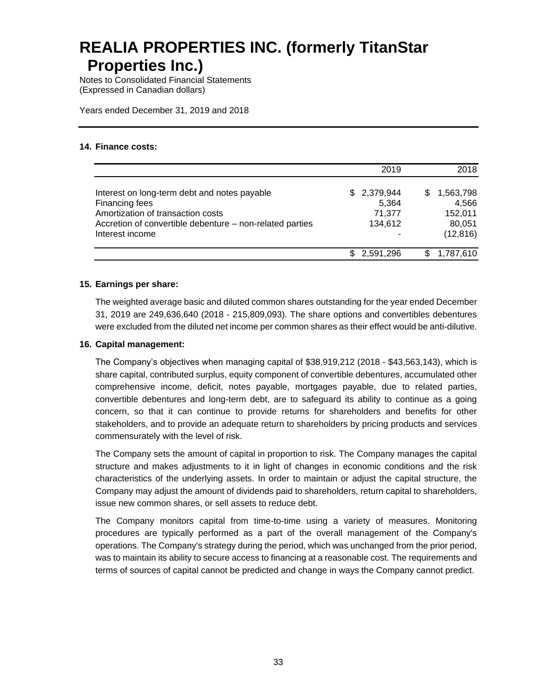Notes to Consolidated Financial Statements (Expressed in Canadian dollars)

Years ended December 31, 2019 and 2018

#### **14. Finance costs:**

|                                                                                                                                                                                    | 2019                                      | 2018                                                      |
|------------------------------------------------------------------------------------------------------------------------------------------------------------------------------------|-------------------------------------------|-----------------------------------------------------------|
| Interest on long-term debt and notes payable<br>Financing fees<br>Amortization of transaction costs<br>Accretion of convertible debenture – non-related parties<br>Interest income | \$2,379,944<br>5,364<br>71,377<br>134,612 | 1,563,798<br>S<br>4,566<br>152,011<br>80,051<br>(12, 816) |
|                                                                                                                                                                                    | 2,591,296                                 | 1,787,610                                                 |

#### **15. Earnings per share:**

The weighted average basic and diluted common shares outstanding for the year ended December 31, 2019 are 249,636,640 (2018 - 215,809,093). The share options and convertibles debentures were excluded from the diluted net income per common shares as their effect would be anti-dilutive.

#### **16. Capital management:**

The Company's objectives when managing capital of \$38,919,212 (2018 - \$43,563,143), which is share capital, contributed surplus, equity component of convertible debentures, accumulated other comprehensive income, deficit, notes payable, mortgages payable, due to related parties, convertible debentures and long-term debt, are to safeguard its ability to continue as a going concern, so that it can continue to provide returns for shareholders and benefits for other stakeholders, and to provide an adequate return to shareholders by pricing products and services commensurately with the level of risk.

The Company sets the amount of capital in proportion to risk. The Company manages the capital structure and makes adjustments to it in light of changes in economic conditions and the risk characteristics of the underlying assets. In order to maintain or adjust the capital structure, the Company may adjust the amount of dividends paid to shareholders, return capital to shareholders, issue new common shares, or sell assets to reduce debt.

The Company monitors capital from time-to-time using a variety of measures. Monitoring procedures are typically performed as a part of the overall management of the Company's operations. The Company's strategy during the period, which was unchanged from the prior period, was to maintain its ability to secure access to financing at a reasonable cost. The requirements and terms of sources of capital cannot be predicted and change in ways the Company cannot predict.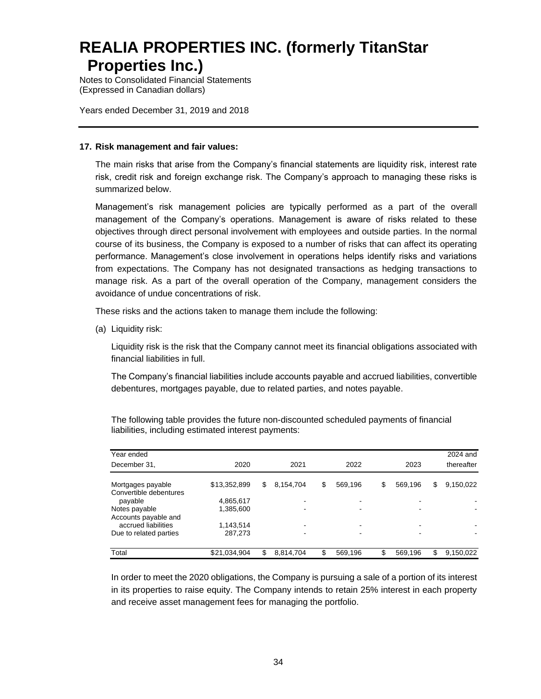Notes to Consolidated Financial Statements (Expressed in Canadian dollars)

Years ended December 31, 2019 and 2018

#### **17. Risk management and fair values:**

The main risks that arise from the Company's financial statements are liquidity risk, interest rate risk, credit risk and foreign exchange risk. The Company's approach to managing these risks is summarized below.

Management's risk management policies are typically performed as a part of the overall management of the Company's operations. Management is aware of risks related to these objectives through direct personal involvement with employees and outside parties. In the normal course of its business, the Company is exposed to a number of risks that can affect its operating performance. Management's close involvement in operations helps identify risks and variations from expectations. The Company has not designated transactions as hedging transactions to manage risk. As a part of the overall operation of the Company, management considers the avoidance of undue concentrations of risk.

These risks and the actions taken to manage them include the following:

(a) Liquidity risk:

Liquidity risk is the risk that the Company cannot meet its financial obligations associated with financial liabilities in full.

The Company's financial liabilities include accounts payable and accrued liabilities, convertible debentures, mortgages payable, due to related parties, and notes payable.

| Year ended<br>December 31,            | 2020         |     | 2021      |   | 2022                     |     | 2023    |     | 2024 and<br>thereafter |
|---------------------------------------|--------------|-----|-----------|---|--------------------------|-----|---------|-----|------------------------|
| Mortgages payable                     | \$13,352,899 | \$  | 8,154,704 | S | 569,196                  | \$  | 569.196 | \$  | 9,150,022              |
| Convertible debentures<br>payable     | 4,865,617    |     |           |   |                          |     |         |     |                        |
| Notes payable<br>Accounts payable and | 1,385,600    |     |           |   | ۰                        |     |         |     |                        |
| accrued liabilities                   | 1,143,514    |     |           |   | $\overline{\phantom{a}}$ |     |         |     |                        |
| Due to related parties                | 287,273      |     |           |   | $\blacksquare$           |     |         |     |                        |
| Total                                 | \$21,034,904 | \$. | 8,814,704 |   | 569,196                  | \$. | 569,196 | \$. | 9,150,022              |

The following table provides the future non-discounted scheduled payments of financial liabilities, including estimated interest payments:

In order to meet the 2020 obligations, the Company is pursuing a sale of a portion of its interest in its properties to raise equity. The Company intends to retain 25% interest in each property and receive asset management fees for managing the portfolio.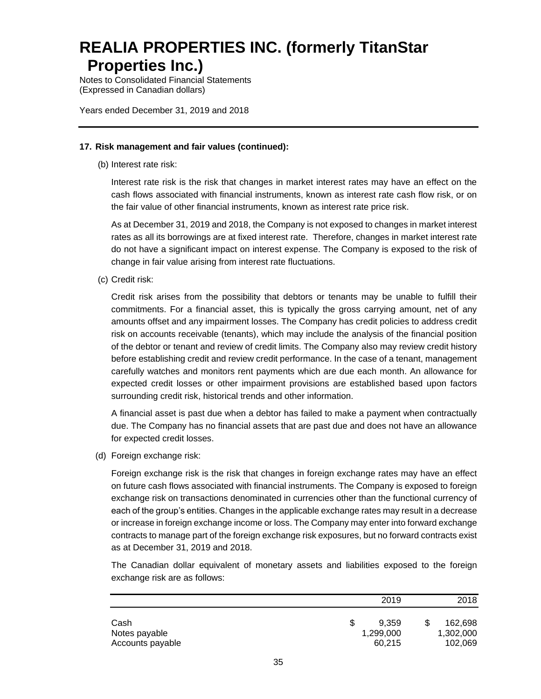Notes to Consolidated Financial Statements (Expressed in Canadian dollars)

Years ended December 31, 2019 and 2018

#### **17. Risk management and fair values (continued):**

(b) Interest rate risk:

Interest rate risk is the risk that changes in market interest rates may have an effect on the cash flows associated with financial instruments, known as interest rate cash flow risk, or on the fair value of other financial instruments, known as interest rate price risk.

As at December 31, 2019 and 2018, the Company is not exposed to changes in market interest rates as all its borrowings are at fixed interest rate. Therefore, changes in market interest rate do not have a significant impact on interest expense. The Company is exposed to the risk of change in fair value arising from interest rate fluctuations.

(c) Credit risk:

Credit risk arises from the possibility that debtors or tenants may be unable to fulfill their commitments. For a financial asset, this is typically the gross carrying amount, net of any amounts offset and any impairment losses. The Company has credit policies to address credit risk on accounts receivable (tenants), which may include the analysis of the financial position of the debtor or tenant and review of credit limits. The Company also may review credit history before establishing credit and review credit performance. In the case of a tenant, management carefully watches and monitors rent payments which are due each month. An allowance for expected credit losses or other impairment provisions are established based upon factors surrounding credit risk, historical trends and other information.

A financial asset is past due when a debtor has failed to make a payment when contractually due. The Company has no financial assets that are past due and does not have an allowance for expected credit losses.

(d) Foreign exchange risk:

Foreign exchange risk is the risk that changes in foreign exchange rates may have an effect on future cash flows associated with financial instruments. The Company is exposed to foreign exchange risk on transactions denominated in currencies other than the functional currency of each of the group's entities. Changes in the applicable exchange rates may result in a decrease or increase in foreign exchange income or loss. The Company may enter into forward exchange contracts to manage part of the foreign exchange risk exposures, but no forward contracts exist as at December 31, 2019 and 2018.

The Canadian dollar equivalent of monetary assets and liabilities exposed to the foreign exchange risk are as follows:

|                                           | 2019 |                              |  | 2018                            |  |  |
|-------------------------------------------|------|------------------------------|--|---------------------------------|--|--|
| Cash<br>Notes payable<br>Accounts payable | Œ    | 9.359<br>1,299,000<br>60.215 |  | 162.698<br>1,302,000<br>102,069 |  |  |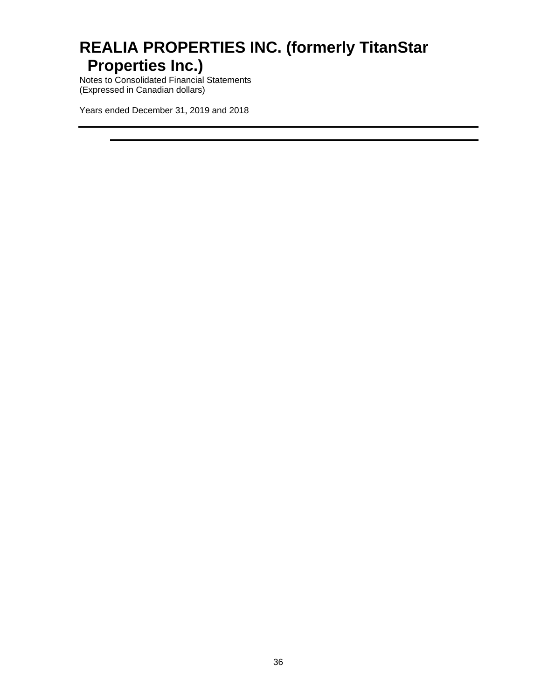Notes to Consolidated Financial Statements (Expressed in Canadian dollars)

Years ended December 31, 2019 and 2018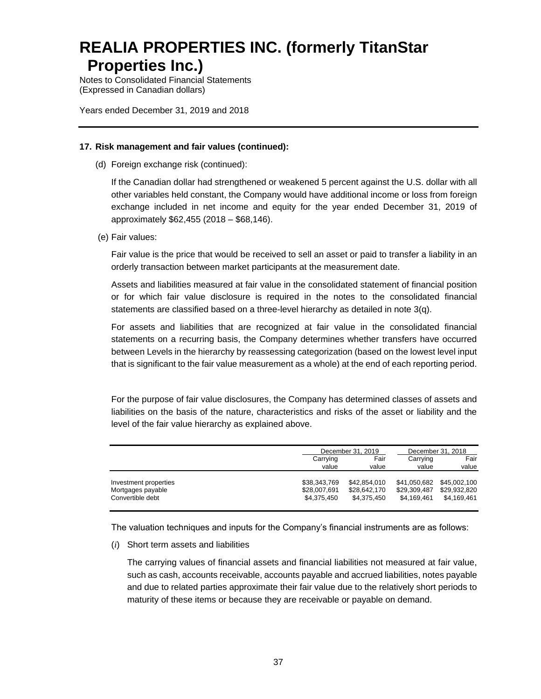Notes to Consolidated Financial Statements (Expressed in Canadian dollars)

Years ended December 31, 2019 and 2018

#### **17. Risk management and fair values (continued):**

(d) Foreign exchange risk (continued):

If the Canadian dollar had strengthened or weakened 5 percent against the U.S. dollar with all other variables held constant, the Company would have additional income or loss from foreign exchange included in net income and equity for the year ended December 31, 2019 of approximately \$62,455 (2018 – \$68,146).

(e) Fair values:

Fair value is the price that would be received to sell an asset or paid to transfer a liability in an orderly transaction between market participants at the measurement date.

Assets and liabilities measured at fair value in the consolidated statement of financial position or for which fair value disclosure is required in the notes to the consolidated financial statements are classified based on a three-level hierarchy as detailed in note 3(q).

For assets and liabilities that are recognized at fair value in the consolidated financial statements on a recurring basis, the Company determines whether transfers have occurred between Levels in the hierarchy by reassessing categorization (based on the lowest level input that is significant to the fair value measurement as a whole) at the end of each reporting period.

For the purpose of fair value disclosures, the Company has determined classes of assets and liabilities on the basis of the nature, characteristics and risks of the asset or liability and the level of the fair value hierarchy as explained above.

|                                                                | December 31, 2019                           |                                             |                                             | December 31, 2018                           |  |
|----------------------------------------------------------------|---------------------------------------------|---------------------------------------------|---------------------------------------------|---------------------------------------------|--|
|                                                                | Carrying                                    | Fair                                        | Carrying                                    | Fair                                        |  |
|                                                                | value                                       | value                                       | value                                       | value                                       |  |
| Investment properties<br>Mortgages payable<br>Convertible debt | \$38,343,769<br>\$28,007,691<br>\$4,375,450 | \$42,854,010<br>\$28,642,170<br>\$4.375.450 | \$41.050.682<br>\$29.309.487<br>\$4.169.461 | \$45,002,100<br>\$29.932.820<br>\$4,169,461 |  |

The valuation techniques and inputs for the Company's financial instruments are as follows:

#### (*i*) Short term assets and liabilities

The carrying values of financial assets and financial liabilities not measured at fair value, such as cash, accounts receivable, accounts payable and accrued liabilities, notes payable and due to related parties approximate their fair value due to the relatively short periods to maturity of these items or because they are receivable or payable on demand.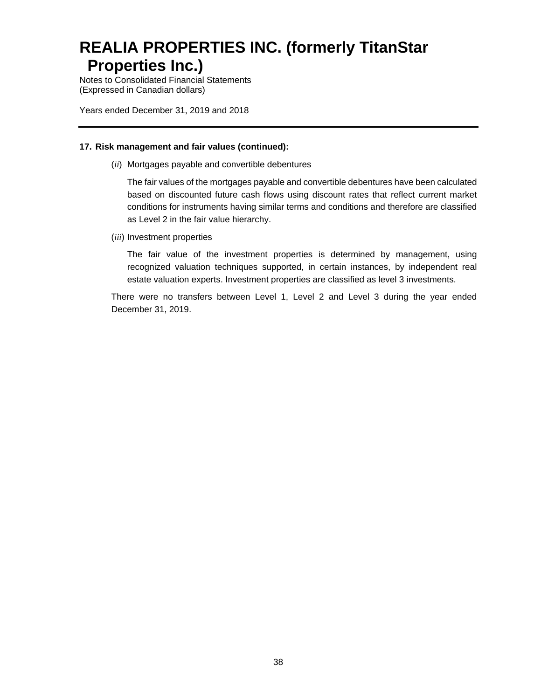Notes to Consolidated Financial Statements (Expressed in Canadian dollars)

Years ended December 31, 2019 and 2018

#### **17. Risk management and fair values (continued):**

(*ii*) Mortgages payable and convertible debentures

The fair values of the mortgages payable and convertible debentures have been calculated based on discounted future cash flows using discount rates that reflect current market conditions for instruments having similar terms and conditions and therefore are classified as Level 2 in the fair value hierarchy.

(*iii*) Investment properties

The fair value of the investment properties is determined by management, using recognized valuation techniques supported, in certain instances, by independent real estate valuation experts. Investment properties are classified as level 3 investments.

There were no transfers between Level 1, Level 2 and Level 3 during the year ended December 31, 2019.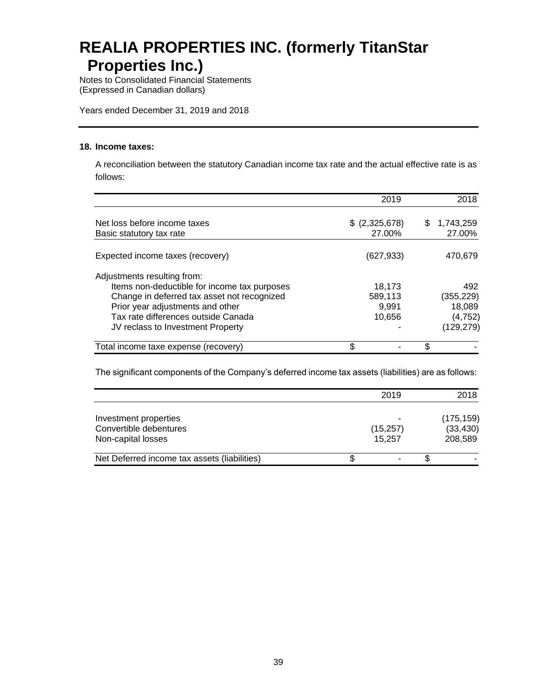Notes to Consolidated Financial Statements (Expressed in Canadian dollars)

Years ended December 31, 2019 and 2018

#### **18. Income taxes:**

A reconciliation between the statutory Canadian income tax rate and the actual effective rate is as follows:

|                                                                                                                                                                                                                                            | 2019                                 |    | 2018                                                |
|--------------------------------------------------------------------------------------------------------------------------------------------------------------------------------------------------------------------------------------------|--------------------------------------|----|-----------------------------------------------------|
| Net loss before income taxes<br>Basic statutory tax rate                                                                                                                                                                                   | \$(2,325,678)<br>27.00%              | S  | 1,743,259<br>27.00%                                 |
| Expected income taxes (recovery)                                                                                                                                                                                                           | (627, 933)                           |    | 470,679                                             |
| Adjustments resulting from:<br>Items non-deductible for income tax purposes<br>Change in deferred tax asset not recognized<br>Prior year adjustments and other<br>Tax rate differences outside Canada<br>JV reclass to Investment Property | 18,173<br>589,113<br>9.991<br>10,656 |    | 492<br>(355,229)<br>18,089<br>(4,752)<br>(129, 279) |
| Total income taxe expense (recovery)                                                                                                                                                                                                       | \$                                   | \$ |                                                     |

The significant components of the Company's deferred income tax assets (liabilities) are as follows:

|                                                 | 2019      | 2018                    |
|-------------------------------------------------|-----------|-------------------------|
| Investment properties<br>Convertible debentures | (15, 257) | (175, 159)<br>(33, 430) |
| Non-capital losses                              | 15.257    | 208,589                 |
| Net Deferred income tax assets (liabilities)    |           |                         |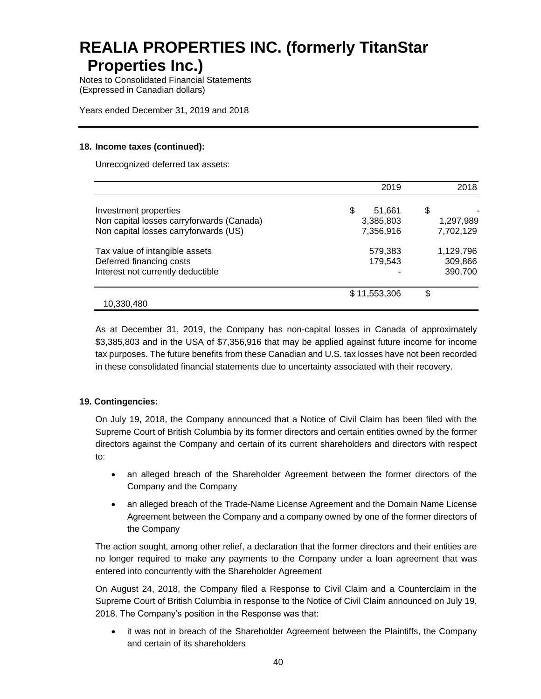Notes to Consolidated Financial Statements (Expressed in Canadian dollars)

Years ended December 31, 2019 and 2018

#### **18. Income taxes (continued):**

Unrecognized deferred tax assets:

|                                                                                                             | 2019                                   | 2018                            |
|-------------------------------------------------------------------------------------------------------------|----------------------------------------|---------------------------------|
| Investment properties<br>Non capital losses carryforwards (Canada)<br>Non capital losses carryforwards (US) | \$<br>51,661<br>3,385,803<br>7,356,916 | \$<br>1,297,989<br>7,702,129    |
| Tax value of intangible assets<br>Deferred financing costs<br>Interest not currently deductible             | 579,383<br>179,543                     | 1,129,796<br>309,866<br>390,700 |
| 10,330,480                                                                                                  | \$11,553,306                           | \$                              |

As at December 31, 2019, the Company has non-capital losses in Canada of approximately \$3,385,803 and in the USA of \$7,356,916 that may be applied against future income for income tax purposes. The future benefits from these Canadian and U.S. tax losses have not been recorded in these consolidated financial statements due to uncertainty associated with their recovery.

#### **19. Contingencies:**

On July 19, 2018, the Company announced that a Notice of Civil Claim has been filed with the Supreme Court of British Columbia by its former directors and certain entities owned by the former directors against the Company and certain of its current shareholders and directors with respect to:

- an alleged breach of the Shareholder Agreement between the former directors of the Company and the Company
- an alleged breach of the Trade-Name License Agreement and the Domain Name License Agreement between the Company and a company owned by one of the former directors of the Company

The action sought, among other relief, a declaration that the former directors and their entities are no longer required to make any payments to the Company under a loan agreement that was entered into concurrently with the Shareholder Agreement

On August 24, 2018, the Company filed a Response to Civil Claim and a Counterclaim in the Supreme Court of British Columbia in response to the Notice of Civil Claim announced on July 19, 2018. The Company's position in the Response was that:

it was not in breach of the Shareholder Agreement between the Plaintiffs, the Company and certain of its shareholders